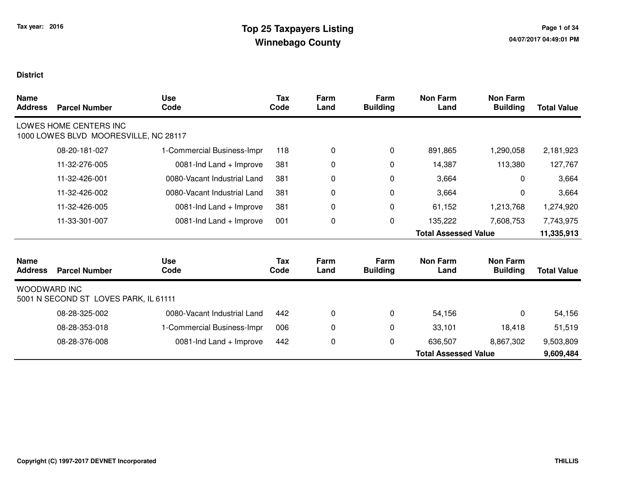| <b>Name</b><br><b>Address</b> | <b>Parcel Number</b>                                            | <b>Use</b><br>Code          | Tax<br>Code        | Farm<br>Land | Farm<br><b>Building</b> | <b>Non Farm</b><br>Land     | <b>Non Farm</b><br><b>Building</b> | <b>Total Value</b> |
|-------------------------------|-----------------------------------------------------------------|-----------------------------|--------------------|--------------|-------------------------|-----------------------------|------------------------------------|--------------------|
|                               | LOWES HOME CENTERS INC<br>1000 LOWES BLVD MOORESVILLE, NC 28117 |                             |                    |              |                         |                             |                                    |                    |
|                               | 08-20-181-027                                                   | 1-Commercial Business-Impr  | 118                | 0            | 0                       | 891,865                     | 1,290,058                          | 2,181,923          |
|                               | 11-32-276-005                                                   | 0081-Ind Land + Improve     | 381                | 0            | 0                       | 14,387                      | 113,380                            | 127,767            |
|                               | 11-32-426-001                                                   | 0080-Vacant Industrial Land | 381                | 0            | 0                       | 3,664                       | $\mathbf 0$                        | 3,664              |
|                               | 11-32-426-002                                                   | 0080-Vacant Industrial Land | 381                | 0            | $\mathbf 0$             | 3,664                       | $\mathbf 0$                        | 3,664              |
|                               | 11-32-426-005                                                   | 0081-Ind Land + Improve     | 381                | 0            | 0                       | 61,152                      | 1,213,768                          | 1,274,920          |
|                               | 11-33-301-007                                                   | 0081-Ind Land + Improve     | 001                | 0            | 0                       | 135,222                     | 7,608,753                          | 7,743,975          |
|                               |                                                                 |                             |                    |              |                         | <b>Total Assessed Value</b> |                                    | 11,335,913         |
| <b>Name</b><br><b>Address</b> | <b>Parcel Number</b>                                            | <b>Use</b><br>Code          | <b>Tax</b><br>Code | Farm<br>Land | Farm<br><b>Building</b> | <b>Non Farm</b><br>Land     | <b>Non Farm</b><br><b>Building</b> | <b>Total Value</b> |
| <b>WOODWARD INC</b>           | 5001 N SECOND ST LOVES PARK, IL 61111                           |                             |                    |              |                         |                             |                                    |                    |
|                               | 08-28-325-002                                                   | 0080-Vacant Industrial Land | 442                | 0            | 0                       | 54,156                      | $\Omega$                           | 54,156             |
|                               | 08-28-353-018                                                   | 1-Commercial Business-Impr  | 006                | 0            | 0                       | 33,101                      | 18,418                             | 51,519             |
|                               | 08-28-376-008                                                   | 0081-Ind Land + Improve     | 442                | 0            | 0                       | 636,507                     | 8,867,302                          | 9,503,809          |
|                               |                                                                 |                             |                    |              |                         | <b>Total Assessed Value</b> |                                    | 9,609,484          |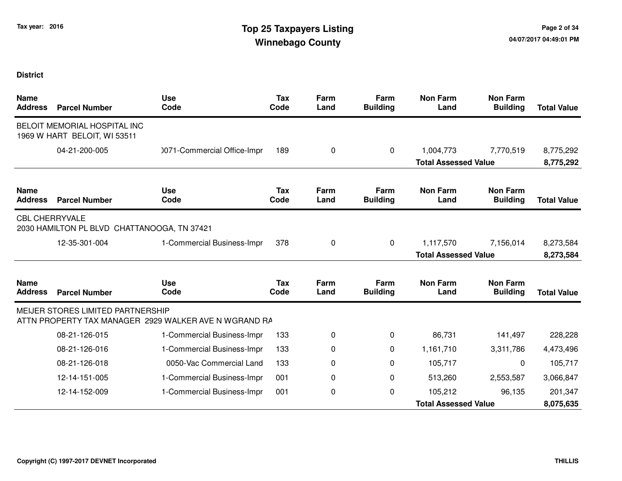| <b>Name</b><br><b>Address</b> | <b>Parcel Number</b>                                         | <b>Use</b><br>Code                                    | <b>Tax</b><br>Code | Farm<br>Land | Farm<br><b>Building</b> | <b>Non Farm</b><br>Land     | <b>Non Farm</b><br><b>Building</b> | <b>Total Value</b> |
|-------------------------------|--------------------------------------------------------------|-------------------------------------------------------|--------------------|--------------|-------------------------|-----------------------------|------------------------------------|--------------------|
|                               | BELOIT MEMORIAL HOSPITAL INC<br>1969 W HART BELOIT, WI 53511 |                                                       |                    |              |                         |                             |                                    |                    |
|                               | 04-21-200-005                                                | 0071-Commercial Office-Impr                           | 189                | 0            | 0                       | 1,004,773                   | 7,770,519                          | 8,775,292          |
|                               |                                                              |                                                       |                    |              |                         | <b>Total Assessed Value</b> |                                    | 8,775,292          |
| <b>Name</b><br><b>Address</b> | <b>Parcel Number</b>                                         | <b>Use</b><br>Code                                    | <b>Tax</b><br>Code | Farm<br>Land | Farm<br><b>Building</b> | <b>Non Farm</b><br>Land     | <b>Non Farm</b><br><b>Building</b> | <b>Total Value</b> |
| <b>CBL CHERRYVALE</b>         | 2030 HAMILTON PL BLVD CHATTANOOGA, TN 37421                  |                                                       |                    |              |                         |                             |                                    |                    |
|                               | 12-35-301-004                                                | 1-Commercial Business-Impr                            | 378                | 0            | 0                       | 1,117,570                   | 7,156,014                          | 8,273,584          |
|                               |                                                              |                                                       |                    |              |                         | <b>Total Assessed Value</b> |                                    | 8,273,584          |
| <b>Name</b><br><b>Address</b> | <b>Parcel Number</b>                                         | <b>Use</b><br>Code                                    | <b>Tax</b><br>Code | Farm<br>Land | Farm<br><b>Building</b> | <b>Non Farm</b><br>Land     | <b>Non Farm</b><br><b>Building</b> | <b>Total Value</b> |
|                               | MEIJER STORES LIMITED PARTNERSHIP                            | ATTN PROPERTY TAX MANAGER 2929 WALKER AVE N WGRAND RA |                    |              |                         |                             |                                    |                    |
|                               | 08-21-126-015                                                | 1-Commercial Business-Impr                            | 133                | 0            | 0                       | 86,731                      | 141,497                            | 228,228            |
|                               | 08-21-126-016                                                | 1-Commercial Business-Impr                            | 133                | 0            | $\Omega$                | 1,161,710                   | 3,311,786                          | 4,473,496          |
|                               | 08-21-126-018                                                | 0050-Vac Commercial Land                              | 133                | 0            | 0                       | 105,717                     | 0                                  | 105,717            |
|                               | 12-14-151-005                                                | 1-Commercial Business-Impr                            | 001                | 0            | 0                       | 513,260                     | 2,553,587                          | 3,066,847          |
|                               | 12-14-152-009                                                | 1-Commercial Business-Impr                            | 001                | 0            | 0                       | 105,212                     | 96,135                             | 201,347            |
|                               |                                                              |                                                       |                    |              |                         | <b>Total Assessed Value</b> |                                    | 8,075,635          |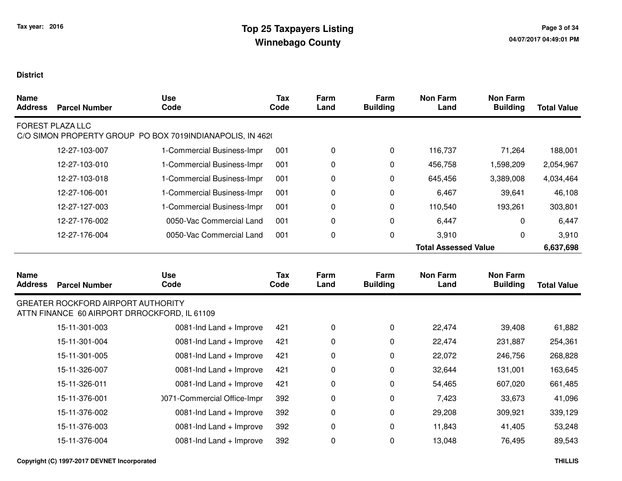| <b>Name</b><br><b>Address</b> | <b>Parcel Number</b>                                                                      | <b>Use</b><br>Code                                        | <b>Tax</b><br>Code | Farm<br>Land | Farm<br><b>Building</b> | <b>Non Farm</b><br>Land     | <b>Non Farm</b><br><b>Building</b> | <b>Total Value</b> |
|-------------------------------|-------------------------------------------------------------------------------------------|-----------------------------------------------------------|--------------------|--------------|-------------------------|-----------------------------|------------------------------------|--------------------|
|                               | <b>FOREST PLAZA LLC</b>                                                                   | C/O SIMON PROPERTY GROUP PO BOX 7019INDIANAPOLIS, IN 4620 |                    |              |                         |                             |                                    |                    |
|                               | 12-27-103-007                                                                             | 1-Commercial Business-Impr                                | 001                | 0            | $\pmb{0}$               | 116,737                     | 71,264                             | 188,001            |
|                               | 12-27-103-010                                                                             | 1-Commercial Business-Impr                                | 001                | 0            | 0                       | 456,758                     | 1,598,209                          | 2,054,967          |
|                               | 12-27-103-018                                                                             | 1-Commercial Business-Impr                                | 001                | 0            | 0                       | 645,456                     | 3,389,008                          | 4,034,464          |
|                               | 12-27-106-001                                                                             | 1-Commercial Business-Impr                                | 001                | 0            | 0                       | 6,467                       | 39,641                             | 46,108             |
|                               | 12-27-127-003                                                                             | 1-Commercial Business-Impr                                | 001                | 0            | 0                       | 110,540                     | 193,261                            | 303,801            |
|                               | 12-27-176-002                                                                             | 0050-Vac Commercial Land                                  | 001                | 0            | $\mathbf 0$             | 6,447                       | $\Omega$                           | 6,447              |
|                               | 12-27-176-004                                                                             | 0050-Vac Commercial Land                                  | 001                | 0            | $\mathbf 0$             | 3,910                       | 0                                  | 3,910              |
|                               |                                                                                           |                                                           |                    |              |                         | <b>Total Assessed Value</b> |                                    | 6,637,698          |
| <b>Name</b><br><b>Address</b> | <b>Parcel Number</b>                                                                      | <b>Use</b><br>Code                                        | Tax<br>Code        | Farm<br>Land | Farm<br><b>Building</b> | <b>Non Farm</b><br>Land     | <b>Non Farm</b><br><b>Building</b> | <b>Total Value</b> |
|                               | <b>GREATER ROCKFORD AIRPORT AUTHORITY</b><br>ATTN FINANCE 60 AIRPORT DRROCKFORD, IL 61109 |                                                           |                    |              |                         |                             |                                    |                    |
|                               | 15-11-301-003                                                                             | 0081-Ind Land + Improve                                   | 421                | 0            | 0                       | 22,474                      | 39,408                             | 61,882             |
|                               | 15-11-301-004                                                                             | 0081-Ind Land + Improve                                   | 421                | 0            | 0                       | 22,474                      | 231,887                            | 254,361            |
|                               | 15-11-301-005                                                                             | 0081-Ind Land + Improve                                   | 421                | 0            | 0                       | 22,072                      | 246,756                            | 268,828            |
|                               | 15-11-326-007                                                                             | 0081-Ind Land + Improve                                   | 421                | 0            | 0                       | 32,644                      | 131,001                            | 163,645            |
|                               | 15-11-326-011                                                                             | 0081-Ind Land + Improve                                   | 421                | 0            | 0                       | 54,465                      | 607,020                            | 661,485            |
|                               | 15-11-376-001                                                                             | 0071-Commercial Office-Impr                               | 392                | 0            | 0                       | 7,423                       | 33,673                             | 41,096             |
|                               | 15-11-376-002                                                                             |                                                           |                    |              |                         |                             |                                    |                    |
|                               |                                                                                           | 0081-Ind Land + Improve                                   | 392                | 0            | 0                       | 29,208                      | 309,921                            | 339,129            |
|                               | 15-11-376-003                                                                             | 0081-Ind Land + Improve                                   | 392                | 0            | 0                       | 11,843                      | 41,405                             | 53,248             |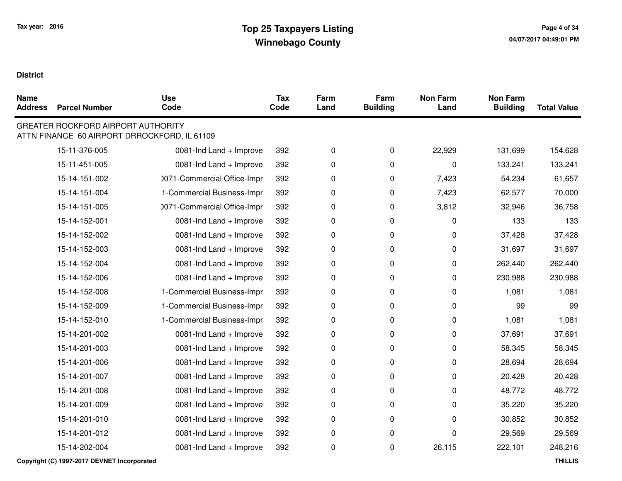| <b>Name</b><br><b>Address</b> | <b>Parcel Number</b>                      | <b>Use</b><br>Code                           | Tax<br>Code | Farm<br>Land | Farm<br><b>Building</b> | <b>Non Farm</b><br>Land | <b>Non Farm</b><br><b>Building</b> | <b>Total Value</b> |
|-------------------------------|-------------------------------------------|----------------------------------------------|-------------|--------------|-------------------------|-------------------------|------------------------------------|--------------------|
|                               | <b>GREATER ROCKFORD AIRPORT AUTHORITY</b> | ATTN FINANCE 60 AIRPORT DRROCKFORD, IL 61109 |             |              |                         |                         |                                    |                    |
|                               | 15-11-376-005                             | 0081-Ind Land + Improve                      | 392         | 0            | $\mathbf 0$             | 22,929                  | 131,699                            | 154,628            |
|                               | 15-11-451-005                             | 0081-Ind Land + Improve                      | 392         | 0            | $\mathbf 0$             | 0                       | 133,241                            | 133,241            |
|                               | 15-14-151-002                             | 0071-Commercial Office-Impr                  | 392         | 0            | $\pmb{0}$               | 7,423                   | 54,234                             | 61,657             |
|                               | 15-14-151-004                             | 1-Commercial Business-Impr                   | 392         | 0            | $\pmb{0}$               | 7,423                   | 62,577                             | 70,000             |
|                               | 15-14-151-005                             | 0071-Commercial Office-Impr                  | 392         | 0            | 0                       | 3,812                   | 32,946                             | 36,758             |
|                               | 15-14-152-001                             | 0081-Ind Land + Improve                      | 392         | 0            | $\pmb{0}$               | 0                       | 133                                | 133                |
|                               | 15-14-152-002                             | 0081-Ind Land + Improve                      | 392         | 0            | 0                       | 0                       | 37,428                             | 37,428             |
|                               | 15-14-152-003                             | 0081-Ind Land + Improve                      | 392         | 0            | $\pmb{0}$               | 0                       | 31,697                             | 31,697             |
|                               | 15-14-152-004                             | 0081-Ind Land + Improve                      | 392         | 0            | 0                       | 0                       | 262,440                            | 262,440            |
|                               | 15-14-152-006                             | 0081-Ind Land + Improve                      | 392         | 0            | $\pmb{0}$               | 0                       | 230,988                            | 230,988            |
|                               | 15-14-152-008                             | 1-Commercial Business-Impr                   | 392         | 0            | 0                       | 0                       | 1,081                              | 1,081              |
|                               | 15-14-152-009                             | 1-Commercial Business-Impr                   | 392         | 0            | $\pmb{0}$               | 0                       | 99                                 | 99                 |
|                               | 15-14-152-010                             | 1-Commercial Business-Impr                   | 392         | 0            | $\mathbf 0$             | 0                       | 1,081                              | 1,081              |
|                               | 15-14-201-002                             | 0081-Ind Land + Improve                      | 392         | 0            | 0                       | 0                       | 37,691                             | 37,691             |
|                               | 15-14-201-003                             | 0081-Ind Land + Improve                      | 392         | 0            | $\pmb{0}$               | 0                       | 58,345                             | 58,345             |
|                               | 15-14-201-006                             | 0081-Ind Land + Improve                      | 392         | 0            | 0                       | 0                       | 28,694                             | 28,694             |
|                               | 15-14-201-007                             | 0081-Ind Land + Improve                      | 392         | 0            | 0                       | 0                       | 20,428                             | 20,428             |
|                               | 15-14-201-008                             | 0081-Ind Land + Improve                      | 392         | 0            | $\pmb{0}$               | 0                       | 48,772                             | 48,772             |
|                               | 15-14-201-009                             | 0081-Ind Land + Improve                      | 392         | 0            | 0                       | 0                       | 35,220                             | 35,220             |
|                               | 15-14-201-010                             | 0081-Ind Land + Improve                      | 392         | 0            | 0                       | 0                       | 30,852                             | 30,852             |
|                               | 15-14-201-012                             | 0081-Ind Land + Improve                      | 392         | 0            | $\pmb{0}$               | 0                       | 29,569                             | 29,569             |
|                               | 15-14-202-004                             | 0081-Ind Land + Improve                      | 392         | 0            | $\pmb{0}$               | 26,115                  | 222,101                            | 248,216            |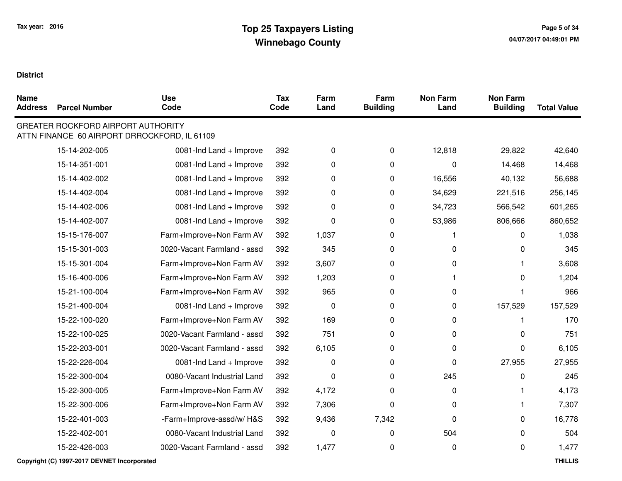$\blacksquare$ 

| Name<br>Address | <b>Parcel Number</b>                                                                      | <b>Use</b><br>Code          | <b>Tax</b><br>Code | Farm<br>Land | Farm<br><b>Building</b> | <b>Non Farm</b><br>Land | <b>Non Farm</b><br><b>Building</b> | <b>Total Value</b> |
|-----------------|-------------------------------------------------------------------------------------------|-----------------------------|--------------------|--------------|-------------------------|-------------------------|------------------------------------|--------------------|
|                 | <b>GREATER ROCKFORD AIRPORT AUTHORITY</b><br>ATTN FINANCE 60 AIRPORT DRROCKFORD, IL 61109 |                             |                    |              |                         |                         |                                    |                    |
|                 | 15-14-202-005                                                                             | 0081-Ind Land + Improve     | 392                | $\mathbf 0$  | $\pmb{0}$               | 12,818                  | 29,822                             | 42,640             |
|                 | 15-14-351-001                                                                             | 0081-Ind Land + Improve     | 392                | $\mathbf 0$  | $\pmb{0}$               | 0                       | 14,468                             | 14,468             |
|                 | 15-14-402-002                                                                             | 0081-Ind Land + Improve     | 392                | 0            | 0                       | 16,556                  | 40,132                             | 56,688             |
|                 | 15-14-402-004                                                                             | 0081-Ind Land + Improve     | 392                | $\mathbf 0$  | 0                       | 34,629                  | 221,516                            | 256,145            |
|                 | 15-14-402-006                                                                             | 0081-Ind Land + Improve     | 392                | 0            | 0                       | 34,723                  | 566,542                            | 601,265            |
|                 | 15-14-402-007                                                                             | 0081-Ind Land + Improve     | 392                | $\mathbf 0$  | 0                       | 53,986                  | 806,666                            | 860,652            |
|                 | 15-15-176-007                                                                             | Farm+Improve+Non Farm AV    | 392                | 1,037        | 0                       |                         | 0                                  | 1,038              |
|                 | 15-15-301-003                                                                             | 0020-Vacant Farmland - assd | 392                | 345          | 0                       | 0                       | 0                                  | 345                |
|                 | 15-15-301-004                                                                             | Farm+Improve+Non Farm AV    | 392                | 3,607        | 0                       | 0                       |                                    | 3,608              |
|                 | 15-16-400-006                                                                             | Farm+Improve+Non Farm AV    | 392                | 1,203        | 0                       |                         | 0                                  | 1,204              |
|                 | 15-21-100-004                                                                             | Farm+Improve+Non Farm AV    | 392                | 965          | 0                       | 0                       |                                    | 966                |
|                 | 15-21-400-004                                                                             | 0081-Ind Land + Improve     | 392                | $\pmb{0}$    | 0                       | 0                       | 157,529                            | 157,529            |
|                 | 15-22-100-020                                                                             | Farm+Improve+Non Farm AV    | 392                | 169          | 0                       | 0                       |                                    | 170                |
|                 | 15-22-100-025                                                                             | 0020-Vacant Farmland - assd | 392                | 751          | 0                       | 0                       | 0                                  | 751                |
|                 | 15-22-203-001                                                                             | 0020-Vacant Farmland - assd | 392                | 6,105        | 0                       | 0                       | 0                                  | 6,105              |
|                 | 15-22-226-004                                                                             | 0081-Ind Land + Improve     | 392                | $\Omega$     | 0                       | 0                       | 27,955                             | 27,955             |
|                 | 15-22-300-004                                                                             | 0080-Vacant Industrial Land | 392                | $\mathbf 0$  | 0                       | 245                     | 0                                  | 245                |
|                 | 15-22-300-005                                                                             | Farm+Improve+Non Farm AV    | 392                | 4,172        | 0                       | 0                       |                                    | 4,173              |
|                 | 15-22-300-006                                                                             | Farm+Improve+Non Farm AV    | 392                | 7,306        | $\pmb{0}$               | $\pmb{0}$               |                                    | 7,307              |
|                 | 15-22-401-003                                                                             | -Farm+Improve-assd/w/H&S    | 392                | 9,436        | 7,342                   | 0                       | $\Omega$                           | 16,778             |
|                 | 15-22-402-001                                                                             | 0080-Vacant Industrial Land | 392                | $\mathbf 0$  | $\mathbf 0$             | 504                     | 0                                  | 504                |
|                 | 15-22-426-003                                                                             | 0020-Vacant Farmland - assd | 392                | 1,477        | 0                       | $\pmb{0}$               | 0                                  | 1,477              |
|                 |                                                                                           |                             |                    |              |                         |                         |                                    |                    |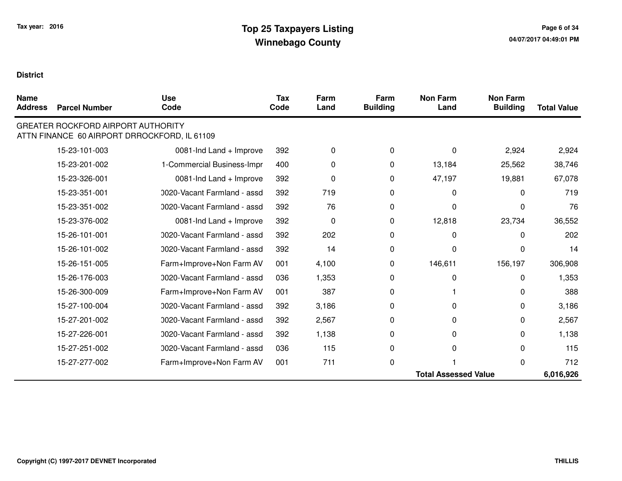| <b>Name</b><br><b>Address</b> | <b>Parcel Number</b>                                                                      | <b>Use</b><br>Code          | <b>Tax</b><br>Code | Farm<br>Land | Farm<br><b>Building</b> | <b>Non Farm</b><br>Land     | <b>Non Farm</b><br><b>Building</b> | <b>Total Value</b> |
|-------------------------------|-------------------------------------------------------------------------------------------|-----------------------------|--------------------|--------------|-------------------------|-----------------------------|------------------------------------|--------------------|
|                               | <b>GREATER ROCKFORD AIRPORT AUTHORITY</b><br>ATTN FINANCE 60 AIRPORT DRROCKFORD, IL 61109 |                             |                    |              |                         |                             |                                    |                    |
|                               | 15-23-101-003                                                                             | 0081-Ind Land + Improve     | 392                | 0            | 0                       | $\Omega$                    | 2,924                              | 2,924              |
|                               | 15-23-201-002                                                                             | 1-Commercial Business-Impr  | 400                | 0            | 0                       | 13,184                      | 25,562                             | 38,746             |
|                               | 15-23-326-001                                                                             | 0081-Ind Land + Improve     | 392                | 0            | 0                       | 47,197                      | 19,881                             | 67,078             |
|                               | 15-23-351-001                                                                             | 0020-Vacant Farmland - assd | 392                | 719          | 0                       | $\Omega$                    | 0                                  | 719                |
|                               | 15-23-351-002                                                                             | 0020-Vacant Farmland - assd | 392                | 76           | 0                       | U                           | U                                  | 76                 |
|                               | 15-23-376-002                                                                             | 0081-Ind Land + Improve     | 392                | 0            | 0                       | 12,818                      | 23,734                             | 36,552             |
|                               | 15-26-101-001                                                                             | 0020-Vacant Farmland - assd | 392                | 202          | 0                       | $\Omega$                    | $\Omega$                           | 202                |
|                               | 15-26-101-002                                                                             | 0020-Vacant Farmland - assd | 392                | 14           | 0                       | 0                           | O                                  | 14                 |
|                               | 15-26-151-005                                                                             | Farm+Improve+Non Farm AV    | 001                | 4,100        | 0                       | 146,611                     | 156,197                            | 306,908            |
|                               | 15-26-176-003                                                                             | 0020-Vacant Farmland - assd | 036                | 1,353        | 0                       | $\Omega$                    | 0                                  | 1,353              |
|                               | 15-26-300-009                                                                             | Farm+Improve+Non Farm AV    | 001                | 387          | 0                       |                             | 0                                  | 388                |
|                               | 15-27-100-004                                                                             | 0020-Vacant Farmland - assd | 392                | 3,186        | 0                       | 0                           | 0                                  | 3,186              |
|                               | 15-27-201-002                                                                             | 0020-Vacant Farmland - assd | 392                | 2,567        | 0                       | $\Omega$                    | 0                                  | 2,567              |
|                               | 15-27-226-001                                                                             | 0020-Vacant Farmland - assd | 392                | 1,138        | 0                       | 0                           | 0                                  | 1,138              |
|                               | 15-27-251-002                                                                             | 0020-Vacant Farmland - assd | 036                | 115          | 0                       | $\Omega$                    | 0                                  | 115                |
|                               | 15-27-277-002                                                                             | Farm+Improve+Non Farm AV    | 001                | 711          | 0                       |                             | 0                                  | 712                |
|                               |                                                                                           |                             |                    |              |                         | <b>Total Assessed Value</b> |                                    | 6,016,926          |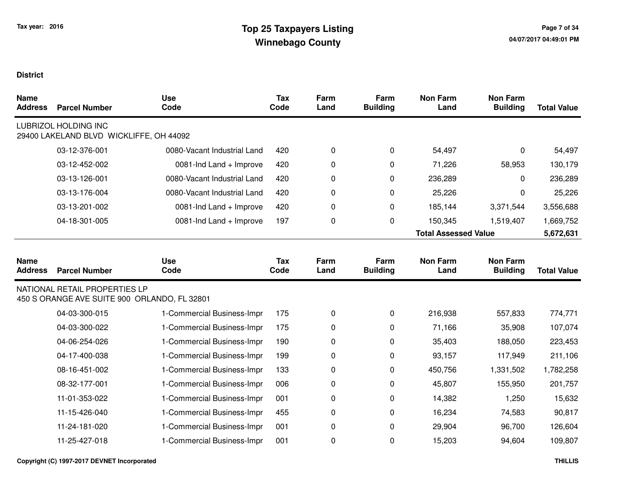| <b>Name</b><br><b>Address</b> | <b>Parcel Number</b>                                                          | <b>Use</b><br>Code          | <b>Tax</b><br>Code | Farm<br>Land | Farm<br><b>Building</b> | <b>Non Farm</b><br>Land     | <b>Non Farm</b><br><b>Building</b> | <b>Total Value</b> |
|-------------------------------|-------------------------------------------------------------------------------|-----------------------------|--------------------|--------------|-------------------------|-----------------------------|------------------------------------|--------------------|
|                               | <b>LUBRIZOL HOLDING INC</b><br>29400 LAKELAND BLVD WICKLIFFE, OH 44092        |                             |                    |              |                         |                             |                                    |                    |
|                               | 03-12-376-001                                                                 | 0080-Vacant Industrial Land | 420                | 0            | 0                       | 54,497                      | 0                                  | 54,497             |
|                               | 03-12-452-002                                                                 | 0081-Ind Land + Improve     | 420                | 0            | 0                       | 71,226                      | 58,953                             | 130,179            |
|                               | 03-13-126-001                                                                 | 0080-Vacant Industrial Land | 420                | 0            | 0                       | 236,289                     | 0                                  | 236,289            |
|                               | 03-13-176-004                                                                 | 0080-Vacant Industrial Land | 420                | 0            | 0                       | 25,226                      | 0                                  | 25,226             |
|                               | 03-13-201-002                                                                 | 0081-Ind Land + Improve     | 420                | 0            | 0                       | 185,144                     | 3,371,544                          | 3,556,688          |
|                               | 04-18-301-005                                                                 | 0081-Ind Land + Improve     | 197                | 0            | 0                       | 150,345                     | 1,519,407                          | 1,669,752          |
|                               |                                                                               |                             |                    |              |                         | <b>Total Assessed Value</b> |                                    | 5,672,631          |
|                               |                                                                               |                             |                    |              |                         |                             |                                    |                    |
| <b>Name</b><br><b>Address</b> | <b>Parcel Number</b>                                                          | <b>Use</b><br>Code          | <b>Tax</b><br>Code | Farm<br>Land | Farm<br><b>Building</b> | <b>Non Farm</b><br>Land     | <b>Non Farm</b><br><b>Building</b> | <b>Total Value</b> |
|                               | NATIONAL RETAIL PROPERTIES LP<br>450 S ORANGE AVE SUITE 900 ORLANDO, FL 32801 |                             |                    |              |                         |                             |                                    |                    |
|                               | 04-03-300-015                                                                 | 1-Commercial Business-Impr  | 175                | 0            | 0                       | 216,938                     | 557,833                            | 774,771            |
|                               | 04-03-300-022                                                                 | 1-Commercial Business-Impr  | 175                | 0            | 0                       | 71,166                      | 35,908                             | 107,074            |
|                               | 04-06-254-026                                                                 | 1-Commercial Business-Impr  | 190                | 0            | 0                       | 35,403                      | 188,050                            | 223,453            |
|                               | 04-17-400-038                                                                 | 1-Commercial Business-Impr  | 199                | 0            | 0                       | 93,157                      | 117,949                            | 211,106            |
|                               | 08-16-451-002                                                                 | 1-Commercial Business-Impr  | 133                | 0            | 0                       | 450,756                     | 1,331,502                          | 1,782,258          |
|                               | 08-32-177-001                                                                 | 1-Commercial Business-Impr  | 006                | 0            | 0                       | 45,807                      | 155,950                            | 201,757            |
|                               | 11-01-353-022                                                                 | 1-Commercial Business-Impr  | 001                | 0            | 0                       | 14,382                      | 1,250                              | 15,632             |
|                               | 11-15-426-040                                                                 | 1-Commercial Business-Impr  | 455                | 0            | 0                       | 16,234                      | 74,583                             | 90,817             |
|                               | 11-24-181-020                                                                 | 1-Commercial Business-Impr  | 001                | 0            | 0                       | 29,904                      | 96,700                             | 126,604            |
|                               | 11-25-427-018                                                                 | 1-Commercial Business-Impr  | 001                | 0            | 0                       | 15,203                      | 94,604                             | 109,807            |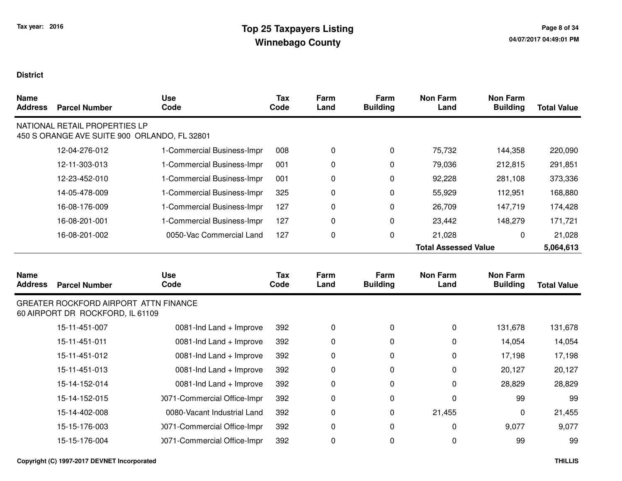| <b>Name</b><br><b>Address</b> | <b>Parcel Number</b>                                                          | <b>Use</b><br>Code          | <b>Tax</b><br>Code | Farm<br>Land | Farm<br><b>Building</b> | <b>Non Farm</b><br>Land     | <b>Non Farm</b><br><b>Building</b> | <b>Total Value</b> |
|-------------------------------|-------------------------------------------------------------------------------|-----------------------------|--------------------|--------------|-------------------------|-----------------------------|------------------------------------|--------------------|
|                               | NATIONAL RETAIL PROPERTIES LP<br>450 S ORANGE AVE SUITE 900 ORLANDO, FL 32801 |                             |                    |              |                         |                             |                                    |                    |
|                               | 12-04-276-012                                                                 | 1-Commercial Business-Impr  | 008                | 0            | 0                       | 75,732                      | 144,358                            | 220,090            |
|                               | 12-11-303-013                                                                 | 1-Commercial Business-Impr  | 001                | 0            | 0                       | 79,036                      | 212,815                            | 291,851            |
|                               | 12-23-452-010                                                                 | 1-Commercial Business-Impr  | 001                | 0            | 0                       | 92,228                      | 281,108                            | 373,336            |
|                               | 14-05-478-009                                                                 | 1-Commercial Business-Impr  | 325                | 0            | 0                       | 55,929                      | 112,951                            | 168,880            |
|                               | 16-08-176-009                                                                 | 1-Commercial Business-Impr  | 127                | 0            | 0                       | 26,709                      | 147,719                            | 174,428            |
|                               | 16-08-201-001                                                                 | 1-Commercial Business-Impr  | 127                | 0            | 0                       | 23,442                      | 148,279                            | 171,721            |
|                               | 16-08-201-002                                                                 | 0050-Vac Commercial Land    | 127                | $\pmb{0}$    | 0                       | 21,028                      | 0                                  | 21,028             |
|                               |                                                                               |                             |                    |              |                         | <b>Total Assessed Value</b> |                                    | 5,064,613          |
| <b>Name</b><br><b>Address</b> | <b>Parcel Number</b>                                                          | <b>Use</b><br>Code          | <b>Tax</b><br>Code | Farm<br>Land | Farm<br><b>Building</b> | <b>Non Farm</b><br>Land     | <b>Non Farm</b><br><b>Building</b> | <b>Total Value</b> |
|                               | GREATER ROCKFORD AIRPORT ATTN FINANCE<br>60 AIRPORT DR ROCKFORD, IL 61109     |                             |                    |              |                         |                             |                                    |                    |
|                               | 15-11-451-007                                                                 | 0081-Ind Land + Improve     | 392                | 0            | $\mathbf 0$             | $\pmb{0}$                   | 131,678                            | 131,678            |
|                               | 15-11-451-011                                                                 | 0081-Ind Land + Improve     | 392                | 0            | 0                       | 0                           | 14,054                             | 14,054             |
|                               | 15-11-451-012                                                                 | 0081-Ind Land + Improve     | 392                | 0            | 0                       | $\pmb{0}$                   | 17,198                             | 17,198             |
|                               | 15-11-451-013                                                                 | 0081-Ind Land + Improve     | 392                | 0            | 0                       | 0                           | 20,127                             | 20,127             |
|                               | 15-14-152-014                                                                 | 0081-Ind Land + Improve     | 392                | 0            | 0                       | 0                           | 28,829                             | 28,829             |
|                               | 15-14-152-015                                                                 | 0071-Commercial Office-Impr | 392                | 0            | 0                       | 0                           | 99                                 | 99                 |
|                               | 15-14-402-008                                                                 | 0080-Vacant Industrial Land | 392                | 0            | 0                       | 21,455                      | 0                                  | 21,455             |
|                               | 15-15-176-003                                                                 | 0071-Commercial Office-Impr | 392                | 0            | 0                       | $\pmb{0}$                   | 9,077                              | 9,077              |
|                               | 15-15-176-004                                                                 | 0071-Commercial Office-Impr | 392                | 0            | 0                       | 0                           | 99                                 | 99                 |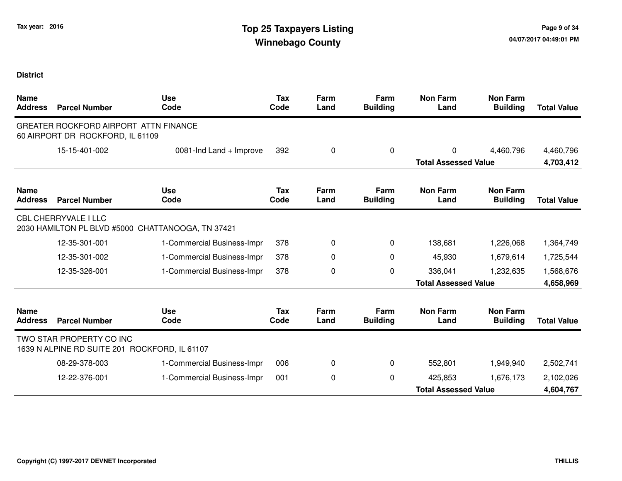| <b>Name</b><br><b>Address</b> | <b>Parcel Number</b>                                                      | <b>Use</b><br>Code                                | <b>Tax</b><br>Code | Farm<br>Land | Farm<br><b>Building</b> | <b>Non Farm</b><br>Land     | <b>Non Farm</b><br><b>Building</b> | <b>Total Value</b> |
|-------------------------------|---------------------------------------------------------------------------|---------------------------------------------------|--------------------|--------------|-------------------------|-----------------------------|------------------------------------|--------------------|
|                               | GREATER ROCKFORD AIRPORT ATTN FINANCE<br>60 AIRPORT DR ROCKFORD, IL 61109 |                                                   |                    |              |                         |                             |                                    |                    |
|                               | 15-15-401-002                                                             | 0081-Ind Land + Improve                           | 392                | 0            | 0                       | 0                           | 4,460,796                          | 4,460,796          |
|                               |                                                                           |                                                   |                    |              |                         | <b>Total Assessed Value</b> |                                    | 4,703,412          |
| <b>Name</b><br><b>Address</b> | <b>Parcel Number</b>                                                      | <b>Use</b><br>Code                                | Tax<br>Code        | Farm<br>Land | Farm<br><b>Building</b> | <b>Non Farm</b><br>Land     | <b>Non Farm</b><br><b>Building</b> | <b>Total Value</b> |
|                               | <b>CBL CHERRYVALE I LLC</b>                                               | 2030 HAMILTON PL BLVD #5000 CHATTANOOGA, TN 37421 |                    |              |                         |                             |                                    |                    |
|                               | 12-35-301-001                                                             | 1-Commercial Business-Impr                        | 378                | 0            | 0                       | 138,681                     | 1,226,068                          | 1,364,749          |
|                               | 12-35-301-002                                                             | 1-Commercial Business-Impr                        | 378                | 0            | $\Omega$                | 45,930                      | 1,679,614                          | 1,725,544          |
|                               | 12-35-326-001                                                             | 1-Commercial Business-Impr                        | 378                | 0            | 0                       | 336,041                     | 1,232,635                          | 1,568,676          |
|                               |                                                                           |                                                   |                    |              |                         | <b>Total Assessed Value</b> |                                    | 4,658,969          |
| <b>Name</b><br><b>Address</b> | <b>Parcel Number</b>                                                      | <b>Use</b><br>Code                                | Tax<br>Code        | Farm<br>Land | Farm<br><b>Building</b> | <b>Non Farm</b><br>Land     | <b>Non Farm</b><br><b>Building</b> | <b>Total Value</b> |
|                               | TWO STAR PROPERTY CO INC<br>1639 N ALPINE RD SUITE 201 ROCKFORD, IL 61107 |                                                   |                    |              |                         |                             |                                    |                    |
|                               | 08-29-378-003                                                             | 1-Commercial Business-Impr                        | 006                | 0            | 0                       | 552,801                     | 1,949,940                          | 2,502,741          |
|                               | 12-22-376-001                                                             | 1-Commercial Business-Impr                        | 001                | 0            | 0                       | 425,853                     | 1,676,173                          | 2,102,026          |
|                               |                                                                           |                                                   |                    |              |                         | <b>Total Assessed Value</b> |                                    | 4,604,767          |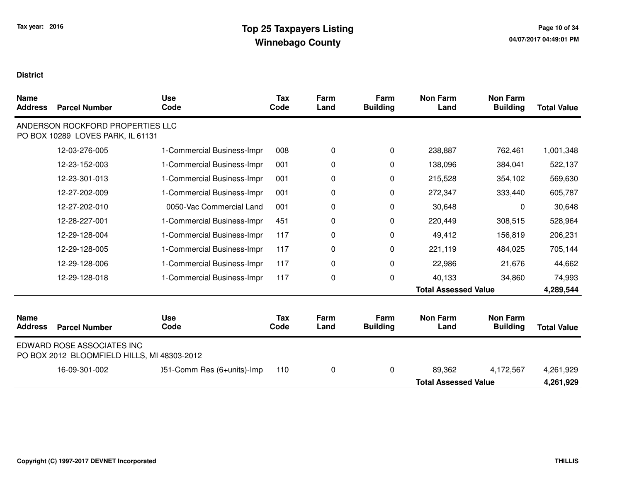| <b>Name</b><br><b>Address</b> | <b>Parcel Number</b>                                                      | <b>Use</b><br>Code         | <b>Tax</b><br>Code | Farm<br>Land | Farm<br><b>Building</b> | <b>Non Farm</b><br>Land     | <b>Non Farm</b><br><b>Building</b> | <b>Total Value</b> |
|-------------------------------|---------------------------------------------------------------------------|----------------------------|--------------------|--------------|-------------------------|-----------------------------|------------------------------------|--------------------|
|                               | ANDERSON ROCKFORD PROPERTIES LLC<br>PO BOX 10289 LOVES PARK, IL 61131     |                            |                    |              |                         |                             |                                    |                    |
|                               | 12-03-276-005                                                             | 1-Commercial Business-Impr | 008                | 0            | 0                       | 238,887                     | 762,461                            | 1,001,348          |
|                               | 12-23-152-003                                                             | 1-Commercial Business-Impr | 001                | 0            | 0                       | 138,096                     | 384,041                            | 522,137            |
|                               | 12-23-301-013                                                             | 1-Commercial Business-Impr | 001                | 0            | 0                       | 215,528                     | 354,102                            | 569,630            |
|                               | 12-27-202-009                                                             | 1-Commercial Business-Impr | 001                | 0            | $\Omega$                | 272,347                     | 333,440                            | 605,787            |
|                               | 12-27-202-010                                                             | 0050-Vac Commercial Land   | 001                | 0            | 0                       | 30,648                      | $\Omega$                           | 30,648             |
|                               | 12-28-227-001                                                             | 1-Commercial Business-Impr | 451                | 0            | 0                       | 220,449                     | 308,515                            | 528,964            |
|                               | 12-29-128-004                                                             | 1-Commercial Business-Impr | 117                | 0            | 0                       | 49,412                      | 156,819                            | 206,231            |
|                               | 12-29-128-005                                                             | 1-Commercial Business-Impr | 117                | 0            | 0                       | 221,119                     | 484,025                            | 705,144            |
|                               | 12-29-128-006                                                             | 1-Commercial Business-Impr | 117                | 0            | 0                       | 22,986                      | 21,676                             | 44,662             |
|                               | 12-29-128-018                                                             | 1-Commercial Business-Impr | 117                | 0            | 0                       | 40,133                      | 34,860                             | 74,993             |
|                               |                                                                           |                            |                    |              |                         | <b>Total Assessed Value</b> |                                    | 4,289,544          |
| <b>Name</b><br><b>Address</b> | <b>Parcel Number</b>                                                      | <b>Use</b><br>Code         | Tax<br>Code        | Farm<br>Land | Farm<br><b>Building</b> | <b>Non Farm</b><br>Land     | <b>Non Farm</b><br><b>Building</b> | <b>Total Value</b> |
|                               | EDWARD ROSE ASSOCIATES INC<br>PO BOX 2012 BLOOMFIELD HILLS, MI 48303-2012 |                            |                    |              |                         |                             |                                    |                    |
|                               | 16-09-301-002                                                             | )51-Comm Res (6+units)-Imp | 110                | 0            | 0                       | 89,362                      | 4,172,567                          | 4,261,929          |
|                               |                                                                           |                            |                    |              |                         | <b>Total Assessed Value</b> |                                    | 4,261,929          |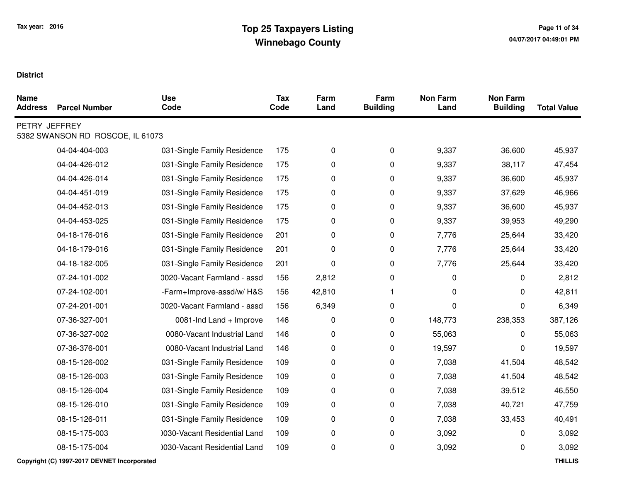| <b>Name</b><br><b>Address</b> | <b>Parcel Number</b>             | <b>Use</b><br>Code           | Tax<br>Code | Farm<br>Land | Farm<br><b>Building</b> | <b>Non Farm</b><br>Land | <b>Non Farm</b><br><b>Building</b> | <b>Total Value</b> |
|-------------------------------|----------------------------------|------------------------------|-------------|--------------|-------------------------|-------------------------|------------------------------------|--------------------|
| PETRY JEFFREY                 | 5382 SWANSON RD ROSCOE, IL 61073 |                              |             |              |                         |                         |                                    |                    |
|                               | 04-04-404-003                    | 031-Single Family Residence  | 175         | 0            | $\pmb{0}$               | 9,337                   | 36,600                             | 45,937             |
|                               | 04-04-426-012                    | 031-Single Family Residence  | 175         | $\pmb{0}$    | $\pmb{0}$               | 9,337                   | 38,117                             | 47,454             |
|                               | 04-04-426-014                    | 031-Single Family Residence  | 175         | 0            | $\pmb{0}$               | 9,337                   | 36,600                             | 45,937             |
|                               | 04-04-451-019                    | 031-Single Family Residence  | 175         | 0            | $\mathbf 0$             | 9,337                   | 37,629                             | 46,966             |
|                               | 04-04-452-013                    | 031-Single Family Residence  | 175         | 0            | 0                       | 9,337                   | 36,600                             | 45,937             |
|                               | 04-04-453-025                    | 031-Single Family Residence  | 175         | 0            | $\pmb{0}$               | 9,337                   | 39,953                             | 49,290             |
|                               | 04-18-176-016                    | 031-Single Family Residence  | 201         | 0            | $\pmb{0}$               | 7,776                   | 25,644                             | 33,420             |
|                               | 04-18-179-016                    | 031-Single Family Residence  | 201         | 0            | 0                       | 7,776                   | 25,644                             | 33,420             |
|                               | 04-18-182-005                    | 031-Single Family Residence  | 201         | 0            | $\pmb{0}$               | 7,776                   | 25,644                             | 33,420             |
|                               | 07-24-101-002                    | 0020-Vacant Farmland - assd  | 156         | 2,812        | $\pmb{0}$               | 0                       | 0                                  | 2,812              |
|                               | 07-24-102-001                    | -Farm+Improve-assd/w/H&S     | 156         | 42,810       | 1                       | 0                       | 0                                  | 42,811             |
|                               | 07-24-201-001                    | 0020-Vacant Farmland - assd  | 156         | 6,349        | $\pmb{0}$               | 0                       | 0                                  | 6,349              |
|                               | 07-36-327-001                    | 0081-Ind Land + Improve      | 146         | 0            | 0                       | 148,773                 | 238,353                            | 387,126            |
|                               | 07-36-327-002                    | 0080-Vacant Industrial Land  | 146         | 0            | $\pmb{0}$               | 55,063                  | 0                                  | 55,063             |
|                               | 07-36-376-001                    | 0080-Vacant Industrial Land  | 146         | 0            | 0                       | 19,597                  | 0                                  | 19,597             |
|                               | 08-15-126-002                    | 031-Single Family Residence  | 109         | 0            | $\pmb{0}$               | 7,038                   | 41,504                             | 48,542             |
|                               | 08-15-126-003                    | 031-Single Family Residence  | 109         | 0            | $\mathbf 0$             | 7,038                   | 41,504                             | 48,542             |
|                               | 08-15-126-004                    | 031-Single Family Residence  | 109         | 0            | 0                       | 7,038                   | 39,512                             | 46,550             |
|                               | 08-15-126-010                    | 031-Single Family Residence  | 109         | 0            | $\pmb{0}$               | 7,038                   | 40,721                             | 47,759             |
|                               | 08-15-126-011                    | 031-Single Family Residence  | 109         | 0            | 0                       | 7,038                   | 33,453                             | 40,491             |
|                               | 08-15-175-003                    | 0030-Vacant Residential Land | 109         | 0            | $\pmb{0}$               | 3,092                   | 0                                  | 3,092              |
|                               | 08-15-175-004                    | 1030-Vacant Residential Land | 109         | $\pmb{0}$    | $\pmb{0}$               | 3,092                   | 0                                  | 3,092              |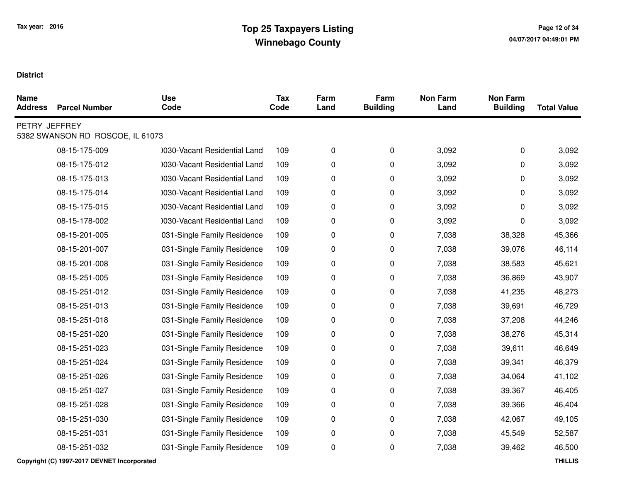| <b>Name</b><br><b>Address</b> | <b>Parcel Number</b>             | <b>Use</b><br>Code           | Tax<br>Code | Farm<br>Land | Farm<br><b>Building</b> | <b>Non Farm</b><br>Land | <b>Non Farm</b><br><b>Building</b> | <b>Total Value</b> |
|-------------------------------|----------------------------------|------------------------------|-------------|--------------|-------------------------|-------------------------|------------------------------------|--------------------|
| PETRY JEFFREY                 | 5382 SWANSON RD ROSCOE, IL 61073 |                              |             |              |                         |                         |                                    |                    |
|                               | 08-15-175-009                    | 0030-Vacant Residential Land | 109         | 0            | $\pmb{0}$               | 3,092                   | 0                                  | 3,092              |
|                               | 08-15-175-012                    | 0030-Vacant Residential Land | 109         | 0            | 0                       | 3,092                   | 0                                  | 3,092              |
|                               | 08-15-175-013                    | 1030-Vacant Residential Land | 109         | 0            | $\pmb{0}$               | 3,092                   | 0                                  | 3,092              |
|                               | 08-15-175-014                    | 1030-Vacant Residential Land | 109         | 0            | $\mathbf 0$             | 3,092                   | 0                                  | 3,092              |
|                               | 08-15-175-015                    | 0030-Vacant Residential Land | 109         | 0            | 0                       | 3,092                   | 0                                  | 3,092              |
|                               | 08-15-178-002                    | 1030-Vacant Residential Land | 109         | 0            | $\mathbf 0$             | 3,092                   | 0                                  | 3,092              |
|                               | 08-15-201-005                    | 031-Single Family Residence  | 109         | 0            | 0                       | 7,038                   | 38,328                             | 45,366             |
|                               | 08-15-201-007                    | 031-Single Family Residence  | 109         | 0            | $\pmb{0}$               | 7,038                   | 39,076                             | 46,114             |
|                               | 08-15-201-008                    | 031-Single Family Residence  | 109         | 0            | 0                       | 7,038                   | 38,583                             | 45,621             |
|                               | 08-15-251-005                    | 031-Single Family Residence  | 109         | 0            | $\mathbf 0$             | 7,038                   | 36,869                             | 43,907             |
|                               | 08-15-251-012                    | 031-Single Family Residence  | 109         | $\pmb{0}$    | $\pmb{0}$               | 7,038                   | 41,235                             | 48,273             |
|                               | 08-15-251-013                    | 031-Single Family Residence  | 109         | 0            | $\pmb{0}$               | 7,038                   | 39,691                             | 46,729             |
|                               | 08-15-251-018                    | 031-Single Family Residence  | 109         | 0            | $\mathbf 0$             | 7,038                   | 37,208                             | 44,246             |
|                               | 08-15-251-020                    | 031-Single Family Residence  | 109         | 0            | $\pmb{0}$               | 7,038                   | 38,276                             | 45,314             |
|                               | 08-15-251-023                    | 031-Single Family Residence  | 109         | 0            | $\pmb{0}$               | 7,038                   | 39,611                             | 46,649             |
|                               | 08-15-251-024                    | 031-Single Family Residence  | 109         | 0            | 0                       | 7,038                   | 39,341                             | 46,379             |
|                               | 08-15-251-026                    | 031-Single Family Residence  | 109         | 0            | $\mathbf 0$             | 7,038                   | 34,064                             | 41,102             |
|                               | 08-15-251-027                    | 031-Single Family Residence  | 109         | 0            | 0                       | 7,038                   | 39,367                             | 46,405             |
|                               | 08-15-251-028                    | 031-Single Family Residence  | 109         | 0            | $\pmb{0}$               | 7,038                   | 39,366                             | 46,404             |
|                               | 08-15-251-030                    | 031-Single Family Residence  | 109         | 0            | $\mathbf 0$             | 7,038                   | 42,067                             | 49,105             |
|                               | 08-15-251-031                    | 031-Single Family Residence  | 109         | 0            | $\pmb{0}$               | 7,038                   | 45,549                             | 52,587             |
|                               | 08-15-251-032                    | 031-Single Family Residence  | 109         | 0            | $\pmb{0}$               | 7,038                   | 39,462                             | 46,500             |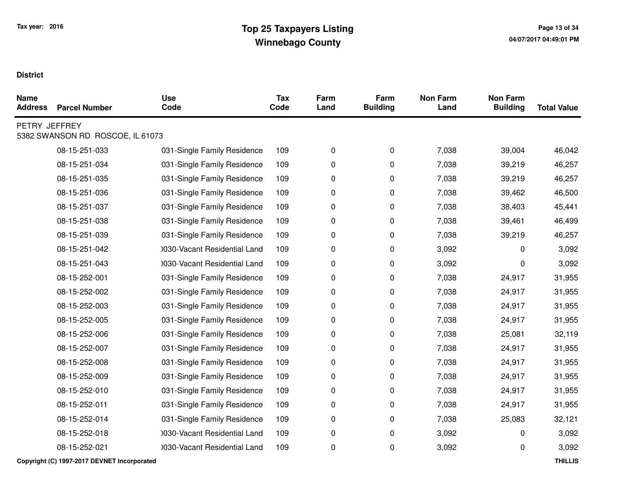| <b>Name</b><br><b>Address</b> | <b>Parcel Number</b>             | <b>Use</b><br>Code           | <b>Tax</b><br>Code | Farm<br>Land | Farm<br><b>Building</b> | <b>Non Farm</b><br>Land | <b>Non Farm</b><br><b>Building</b> | <b>Total Value</b> |
|-------------------------------|----------------------------------|------------------------------|--------------------|--------------|-------------------------|-------------------------|------------------------------------|--------------------|
| PETRY JEFFREY                 | 5382 SWANSON RD ROSCOE, IL 61073 |                              |                    |              |                         |                         |                                    |                    |
|                               | 08-15-251-033                    | 031-Single Family Residence  | 109                | 0            | $\mathbf 0$             | 7,038                   | 39,004                             | 46,042             |
|                               | 08-15-251-034                    | 031-Single Family Residence  | 109                | 0            | 0                       | 7,038                   | 39,219                             | 46,257             |
|                               | 08-15-251-035                    | 031-Single Family Residence  | 109                | 0            | 0                       | 7,038                   | 39,219                             | 46,257             |
|                               | 08-15-251-036                    | 031-Single Family Residence  | 109                | 0            | 0                       | 7,038                   | 39,462                             | 46,500             |
|                               | 08-15-251-037                    | 031-Single Family Residence  | 109                | 0            | 0                       | 7,038                   | 38,403                             | 45,441             |
|                               | 08-15-251-038                    | 031-Single Family Residence  | 109                | 0            | 0                       | 7,038                   | 39,461                             | 46,499             |
|                               | 08-15-251-039                    | 031-Single Family Residence  | 109                | 0            | 0                       | 7,038                   | 39,219                             | 46,257             |
|                               | 08-15-251-042                    | 0030-Vacant Residential Land | 109                | 0            | 0                       | 3,092                   | $\Omega$                           | 3,092              |
|                               | 08-15-251-043                    | 1030-Vacant Residential Land | 109                | 0            | 0                       | 3,092                   | 0                                  | 3,092              |
|                               | 08-15-252-001                    | 031-Single Family Residence  | 109                | 0            | 0                       | 7,038                   | 24,917                             | 31,955             |
|                               | 08-15-252-002                    | 031-Single Family Residence  | 109                | 0            | $\mathbf 0$             | 7,038                   | 24,917                             | 31,955             |
|                               | 08-15-252-003                    | 031-Single Family Residence  | 109                | 0            | 0                       | 7,038                   | 24,917                             | 31,955             |
|                               | 08-15-252-005                    | 031-Single Family Residence  | 109                | 0            | 0                       | 7,038                   | 24,917                             | 31,955             |
|                               | 08-15-252-006                    | 031-Single Family Residence  | 109                | 0            | 0                       | 7,038                   | 25,081                             | 32,119             |
|                               | 08-15-252-007                    | 031-Single Family Residence  | 109                | 0            | 0                       | 7,038                   | 24,917                             | 31,955             |
|                               | 08-15-252-008                    | 031-Single Family Residence  | 109                | 0            | 0                       | 7,038                   | 24,917                             | 31,955             |
|                               | 08-15-252-009                    | 031-Single Family Residence  | 109                | 0            | 0                       | 7,038                   | 24,917                             | 31,955             |
|                               | 08-15-252-010                    | 031-Single Family Residence  | 109                | 0            | 0                       | 7,038                   | 24,917                             | 31,955             |
|                               | 08-15-252-011                    | 031-Single Family Residence  | 109                | 0            | 0                       | 7,038                   | 24,917                             | 31,955             |
|                               | 08-15-252-014                    | 031-Single Family Residence  | 109                | 0            | 0                       | 7,038                   | 25,083                             | 32,121             |
|                               | 08-15-252-018                    | 0030-Vacant Residential Land | 109                | 0            | 0                       | 3,092                   | 0                                  | 3,092              |
|                               | 08-15-252-021                    | 0030-Vacant Residential Land | 109                | 0            | 0                       | 3,092                   | 0                                  | 3,092              |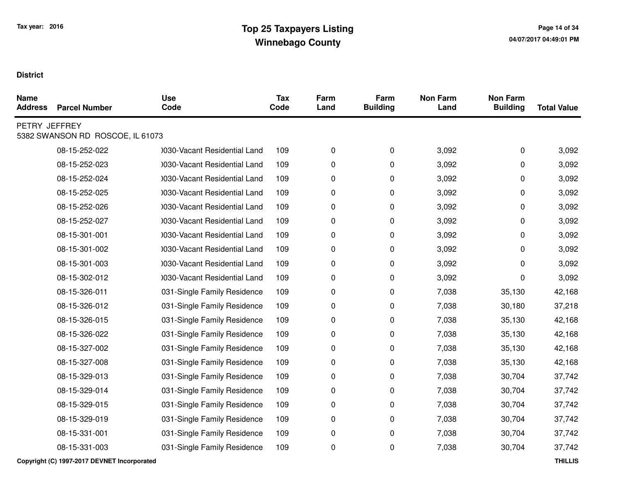| <b>Name</b><br><b>Address</b> | <b>Parcel Number</b>             | <b>Use</b><br>Code           | <b>Tax</b><br>Code | Farm<br>Land | Farm<br><b>Building</b> | <b>Non Farm</b><br>Land | <b>Non Farm</b><br><b>Building</b> | <b>Total Value</b> |
|-------------------------------|----------------------------------|------------------------------|--------------------|--------------|-------------------------|-------------------------|------------------------------------|--------------------|
| PETRY JEFFREY                 | 5382 SWANSON RD ROSCOE, IL 61073 |                              |                    |              |                         |                         |                                    |                    |
|                               | 08-15-252-022                    | 1030-Vacant Residential Land | 109                | $\pmb{0}$    | $\pmb{0}$               | 3,092                   | $\pmb{0}$                          | 3,092              |
|                               | 08-15-252-023                    | 1030-Vacant Residential Land | 109                | 0            | $\pmb{0}$               | 3,092                   | 0                                  | 3,092              |
|                               | 08-15-252-024                    | 1030-Vacant Residential Land | 109                | 0            | $\pmb{0}$               | 3,092                   | 0                                  | 3,092              |
|                               | 08-15-252-025                    | 0030-Vacant Residential Land | 109                | 0            | $\mathbf 0$             | 3,092                   | 0                                  | 3,092              |
|                               | 08-15-252-026                    | 1030-Vacant Residential Land | 109                | 0            | $\mathbf 0$             | 3,092                   | 0                                  | 3,092              |
|                               | 08-15-252-027                    | 1030-Vacant Residential Land | 109                | 0            | $\mathbf 0$             | 3,092                   | 0                                  | 3,092              |
|                               | 08-15-301-001                    | 1030-Vacant Residential Land | 109                | 0            | 0                       | 3,092                   | 0                                  | 3,092              |
|                               | 08-15-301-002                    | 1030-Vacant Residential Land | 109                | 0            | $\pmb{0}$               | 3,092                   | 0                                  | 3,092              |
|                               | 08-15-301-003                    | 1030-Vacant Residential Land | 109                | 0            | 0                       | 3,092                   | 0                                  | 3,092              |
|                               | 08-15-302-012                    | 0030-Vacant Residential Land | 109                | 0            | $\mathbf 0$             | 3,092                   | 0                                  | 3,092              |
|                               | 08-15-326-011                    | 031-Single Family Residence  | 109                | 0            | $\mathbf 0$             | 7,038                   | 35,130                             | 42,168             |
|                               | 08-15-326-012                    | 031-Single Family Residence  | 109                | 0            | $\pmb{0}$               | 7,038                   | 30,180                             | 37,218             |
|                               | 08-15-326-015                    | 031-Single Family Residence  | 109                | 0            | $\mathbf 0$             | 7,038                   | 35,130                             | 42,168             |
|                               | 08-15-326-022                    | 031-Single Family Residence  | 109                | 0            | $\pmb{0}$               | 7,038                   | 35,130                             | 42,168             |
|                               | 08-15-327-002                    | 031-Single Family Residence  | 109                | 0            | 0                       | 7,038                   | 35,130                             | 42,168             |
|                               | 08-15-327-008                    | 031-Single Family Residence  | 109                | 0            | $\mathbf 0$             | 7,038                   | 35,130                             | 42,168             |
|                               | 08-15-329-013                    | 031-Single Family Residence  | 109                | 0            | 0                       | 7,038                   | 30,704                             | 37,742             |
|                               | 08-15-329-014                    | 031-Single Family Residence  | 109                | 0            | $\pmb{0}$               | 7,038                   | 30,704                             | 37,742             |
|                               | 08-15-329-015                    | 031-Single Family Residence  | 109                | 0            | 0                       | 7,038                   | 30,704                             | 37,742             |
|                               | 08-15-329-019                    | 031-Single Family Residence  | 109                | 0            | $\mathbf 0$             | 7,038                   | 30,704                             | 37,742             |
|                               | 08-15-331-001                    | 031-Single Family Residence  | 109                | 0            | $\mathbf 0$             | 7,038                   | 30,704                             | 37,742             |
|                               | 08-15-331-003                    | 031-Single Family Residence  | 109                | 0            | $\mathbf 0$             | 7,038                   | 30,704                             | 37,742             |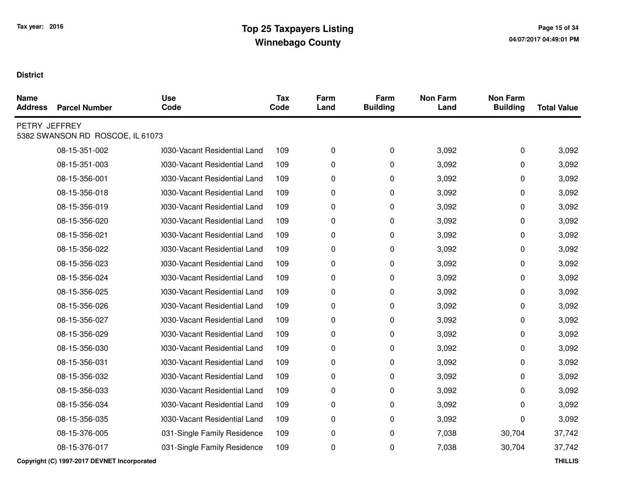| <b>Name</b><br><b>Address</b> | <b>Parcel Number</b>             | <b>Use</b><br>Code           | <b>Tax</b><br>Code | Farm<br>Land | Farm<br><b>Building</b> | <b>Non Farm</b><br>Land | <b>Non Farm</b><br><b>Building</b> | <b>Total Value</b> |
|-------------------------------|----------------------------------|------------------------------|--------------------|--------------|-------------------------|-------------------------|------------------------------------|--------------------|
| PETRY JEFFREY                 | 5382 SWANSON RD ROSCOE, IL 61073 |                              |                    |              |                         |                         |                                    |                    |
|                               | 08-15-351-002                    | 1030-Vacant Residential Land | 109                | 0            | $\pmb{0}$               | 3,092                   | 0                                  | 3,092              |
|                               | 08-15-351-003                    | 0030-Vacant Residential Land | 109                | 0            | $\pmb{0}$               | 3,092                   | 0                                  | 3,092              |
|                               | 08-15-356-001                    | 1030-Vacant Residential Land | 109                | 0            | $\pmb{0}$               | 3,092                   | 0                                  | 3,092              |
|                               | 08-15-356-018                    | 0030-Vacant Residential Land | 109                | 0            | $\pmb{0}$               | 3,092                   | 0                                  | 3,092              |
|                               | 08-15-356-019                    | 1030-Vacant Residential Land | 109                | 0            | $\mathbf 0$             | 3,092                   | 0                                  | 3,092              |
|                               | 08-15-356-020                    | 1030-Vacant Residential Land | 109                | 0            | $\pmb{0}$               | 3,092                   | 0                                  | 3,092              |
|                               | 08-15-356-021                    | 1030-Vacant Residential Land | 109                | 0            | 0                       | 3,092                   | 0                                  | 3,092              |
|                               | 08-15-356-022                    | 1030-Vacant Residential Land | 109                | 0            | $\pmb{0}$               | 3,092                   | 0                                  | 3,092              |
|                               | 08-15-356-023                    | 1030-Vacant Residential Land | 109                | 0            | 0                       | 3,092                   | 0                                  | 3,092              |
|                               | 08-15-356-024                    | 0030-Vacant Residential Land | 109                | 0            | $\pmb{0}$               | 3,092                   | 0                                  | 3,092              |
|                               | 08-15-356-025                    | 1030-Vacant Residential Land | 109                | 0            | 0                       | 3,092                   | 0                                  | 3,092              |
|                               | 08-15-356-026                    | 0030-Vacant Residential Land | 109                | 0            | $\pmb{0}$               | 3,092                   | 0                                  | 3,092              |
|                               | 08-15-356-027                    | 1030-Vacant Residential Land | 109                | 0            | 0                       | 3,092                   | 0                                  | 3,092              |
|                               | 08-15-356-029                    | 1030-Vacant Residential Land | 109                | 0            | $\pmb{0}$               | 3,092                   | 0                                  | 3,092              |
|                               | 08-15-356-030                    | 1030-Vacant Residential Land | 109                | 0            | 0                       | 3,092                   | 0                                  | 3,092              |
|                               | 08-15-356-031                    | 1030-Vacant Residential Land | 109                | 0            | $\mathbf 0$             | 3,092                   | 0                                  | 3,092              |
|                               | 08-15-356-032                    | 1030-Vacant Residential Land | 109                | 0            | 0                       | 3,092                   | 0                                  | 3,092              |
|                               | 08-15-356-033                    | 0030-Vacant Residential Land | 109                | 0            | 0                       | 3,092                   | 0                                  | 3,092              |
|                               | 08-15-356-034                    | 1030-Vacant Residential Land | 109                | 0            | 0                       | 3,092                   | 0                                  | 3,092              |
|                               | 08-15-356-035                    | 0030-Vacant Residential Land | 109                | 0            | 0                       | 3,092                   | 0                                  | 3,092              |
|                               | 08-15-376-005                    | 031-Single Family Residence  | 109                | 0            | $\pmb{0}$               | 7,038                   | 30,704                             | 37,742             |
|                               | 08-15-376-017                    | 031-Single Family Residence  | 109                | 0            | $\pmb{0}$               | 7,038                   | 30,704                             | 37,742             |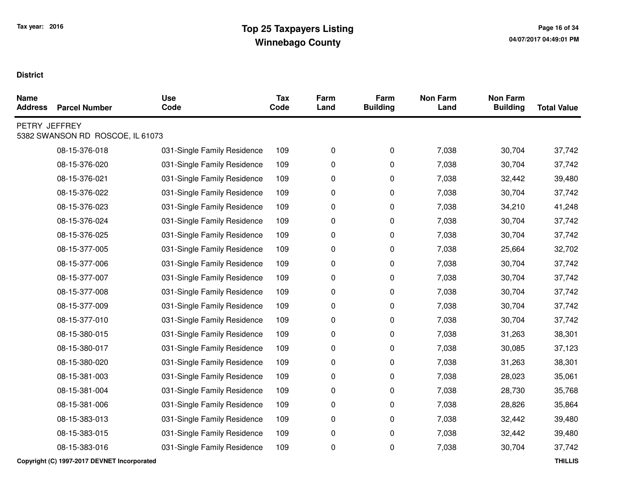| <b>Name</b><br><b>Address</b> | <b>Parcel Number</b>             | <b>Use</b><br>Code          | <b>Tax</b><br>Code | Farm<br>Land | Farm<br><b>Building</b> | <b>Non Farm</b><br>Land | <b>Non Farm</b><br><b>Building</b> | <b>Total Value</b> |
|-------------------------------|----------------------------------|-----------------------------|--------------------|--------------|-------------------------|-------------------------|------------------------------------|--------------------|
| PETRY JEFFREY                 | 5382 SWANSON RD ROSCOE, IL 61073 |                             |                    |              |                         |                         |                                    |                    |
|                               | 08-15-376-018                    | 031-Single Family Residence | 109                | 0            | $\mathbf 0$             | 7,038                   | 30,704                             | 37,742             |
|                               | 08-15-376-020                    | 031-Single Family Residence | 109                | 0            | 0                       | 7,038                   | 30,704                             | 37,742             |
|                               | 08-15-376-021                    | 031-Single Family Residence | 109                | 0            | 0                       | 7,038                   | 32,442                             | 39,480             |
|                               | 08-15-376-022                    | 031-Single Family Residence | 109                | 0            | 0                       | 7,038                   | 30,704                             | 37,742             |
|                               | 08-15-376-023                    | 031-Single Family Residence | 109                | 0            | 0                       | 7,038                   | 34,210                             | 41,248             |
|                               | 08-15-376-024                    | 031-Single Family Residence | 109                | 0            | 0                       | 7,038                   | 30,704                             | 37,742             |
|                               | 08-15-376-025                    | 031-Single Family Residence | 109                | 0            | 0                       | 7,038                   | 30,704                             | 37,742             |
|                               | 08-15-377-005                    | 031-Single Family Residence | 109                | 0            | 0                       | 7,038                   | 25,664                             | 32,702             |
|                               | 08-15-377-006                    | 031-Single Family Residence | 109                | 0            | 0                       | 7,038                   | 30,704                             | 37,742             |
|                               | 08-15-377-007                    | 031-Single Family Residence | 109                | 0            | 0                       | 7,038                   | 30,704                             | 37,742             |
|                               | 08-15-377-008                    | 031-Single Family Residence | 109                | 0            | 0                       | 7,038                   | 30,704                             | 37,742             |
|                               | 08-15-377-009                    | 031-Single Family Residence | 109                | 0            | 0                       | 7,038                   | 30,704                             | 37,742             |
|                               | 08-15-377-010                    | 031-Single Family Residence | 109                | 0            | 0                       | 7,038                   | 30,704                             | 37,742             |
|                               | 08-15-380-015                    | 031-Single Family Residence | 109                | 0            | 0                       | 7,038                   | 31,263                             | 38,301             |
|                               | 08-15-380-017                    | 031-Single Family Residence | 109                | 0            | 0                       | 7,038                   | 30,085                             | 37,123             |
|                               | 08-15-380-020                    | 031-Single Family Residence | 109                | 0            | 0                       | 7,038                   | 31,263                             | 38,301             |
|                               | 08-15-381-003                    | 031-Single Family Residence | 109                | 0            | 0                       | 7,038                   | 28,023                             | 35,061             |
|                               | 08-15-381-004                    | 031-Single Family Residence | 109                | 0            | 0                       | 7,038                   | 28,730                             | 35,768             |
|                               | 08-15-381-006                    | 031-Single Family Residence | 109                | 0            | 0                       | 7,038                   | 28,826                             | 35,864             |
|                               | 08-15-383-013                    | 031-Single Family Residence | 109                | 0            | 0                       | 7,038                   | 32,442                             | 39,480             |
|                               | 08-15-383-015                    | 031-Single Family Residence | 109                | 0            | 0                       | 7,038                   | 32,442                             | 39,480             |
|                               | 08-15-383-016                    | 031-Single Family Residence | 109                | 0            | 0                       | 7,038                   | 30,704                             | 37,742             |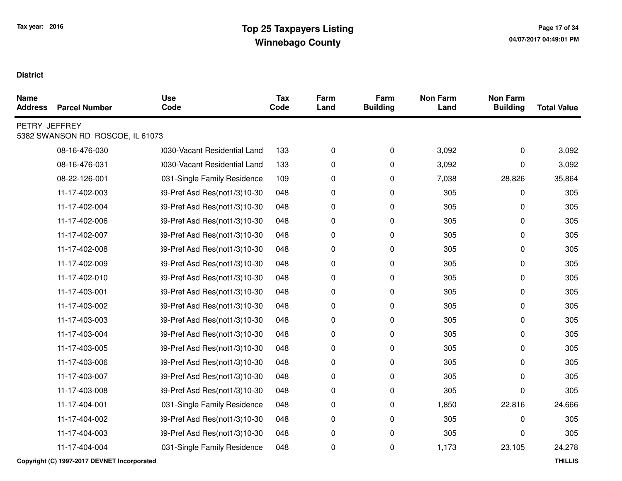| <b>Name</b><br><b>Address</b> | <b>Parcel Number</b>             | <b>Use</b><br>Code           | <b>Tax</b><br>Code | Farm<br>Land | Farm<br><b>Building</b> | <b>Non Farm</b><br>Land | <b>Non Farm</b><br><b>Building</b> | <b>Total Value</b> |
|-------------------------------|----------------------------------|------------------------------|--------------------|--------------|-------------------------|-------------------------|------------------------------------|--------------------|
| PETRY JEFFREY                 | 5382 SWANSON RD ROSCOE, IL 61073 |                              |                    |              |                         |                         |                                    |                    |
|                               | 08-16-476-030                    | 0030-Vacant Residential Land | 133                | 0            | $\pmb{0}$               | 3,092                   | 0                                  | 3,092              |
|                               | 08-16-476-031                    | 0030-Vacant Residential Land | 133                | 0            | $\pmb{0}$               | 3,092                   | 0                                  | 3,092              |
|                               | 08-22-126-001                    | 031-Single Family Residence  | 109                | 0            | $\pmb{0}$               | 7,038                   | 28,826                             | 35,864             |
|                               | 11-17-402-003                    | 39-Pref Asd Res(not1/3)10-30 | 048                | 0            | $\pmb{0}$               | 305                     | 0                                  | 305                |
|                               | 11-17-402-004                    | 39-Pref Asd Res(not1/3)10-30 | 048                | 0            | 0                       | 305                     | 0                                  | 305                |
|                               | 11-17-402-006                    | 39-Pref Asd Res(not1/3)10-30 | 048                | 0            | $\pmb{0}$               | 305                     | 0                                  | 305                |
|                               | 11-17-402-007                    | 39-Pref Asd Res(not1/3)10-30 | 048                | 0            | $\pmb{0}$               | 305                     | 0                                  | 305                |
|                               | 11-17-402-008                    | 39-Pref Asd Res(not1/3)10-30 | 048                | 0            | 0                       | 305                     | 0                                  | 305                |
|                               | 11-17-402-009                    | 39-Pref Asd Res(not1/3)10-30 | 048                | 0            | $\pmb{0}$               | 305                     | 0                                  | 305                |
|                               | 11-17-402-010                    | 39-Pref Asd Res(not1/3)10-30 | 048                | 0            | $\pmb{0}$               | 305                     | 0                                  | 305                |
|                               | 11-17-403-001                    | 39-Pref Asd Res(not1/3)10-30 | 048                | 0            | $\pmb{0}$               | 305                     | 0                                  | 305                |
|                               | 11-17-403-002                    | 39-Pref Asd Res(not1/3)10-30 | 048                | 0            | $\pmb{0}$               | 305                     | 0                                  | 305                |
|                               | 11-17-403-003                    | 39-Pref Asd Res(not1/3)10-30 | 048                | 0            | $\pmb{0}$               | 305                     | 0                                  | 305                |
|                               | 11-17-403-004                    | 39-Pref Asd Res(not1/3)10-30 | 048                | 0            | $\pmb{0}$               | 305                     | 0                                  | 305                |
|                               | 11-17-403-005                    | 39-Pref Asd Res(not1/3)10-30 | 048                | 0            | $\pmb{0}$               | 305                     | 0                                  | 305                |
|                               | 11-17-403-006                    | 39-Pref Asd Res(not1/3)10-30 | 048                | 0            | $\pmb{0}$               | 305                     | 0                                  | 305                |
|                               | 11-17-403-007                    | 39-Pref Asd Res(not1/3)10-30 | 048                | 0            | $\pmb{0}$               | 305                     | 0                                  | 305                |
|                               | 11-17-403-008                    | 39-Pref Asd Res(not1/3)10-30 | 048                | 0            | $\pmb{0}$               | 305                     | 0                                  | 305                |
|                               | 11-17-404-001                    | 031-Single Family Residence  | 048                | 0            | $\pmb{0}$               | 1,850                   | 22,816                             | 24,666             |
|                               | 11-17-404-002                    | 39-Pref Asd Res(not1/3)10-30 | 048                | 0            | $\pmb{0}$               | 305                     | 0                                  | 305                |
|                               | 11-17-404-003                    | 39-Pref Asd Res(not1/3)10-30 | 048                | 0            | $\pmb{0}$               | 305                     | 0                                  | 305                |
|                               | 11-17-404-004                    | 031-Single Family Residence  | 048                | 0            | $\pmb{0}$               | 1,173                   | 23,105                             | 24,278             |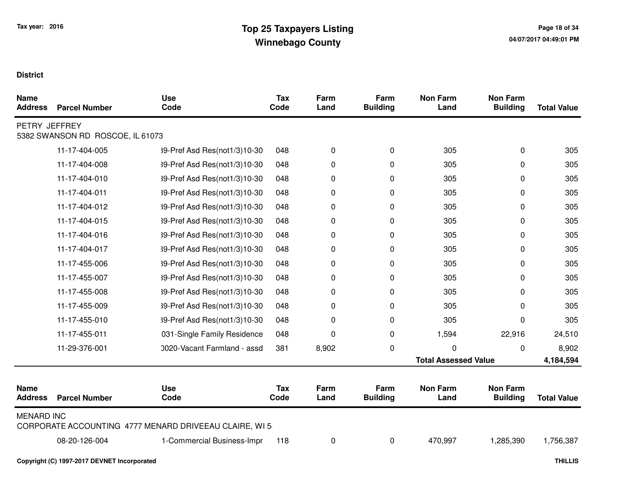| <b>Name</b><br><b>Address</b> | <b>Parcel Number</b>             | <b>Use</b><br>Code                                     | <b>Tax</b><br>Code | Farm<br>Land | Farm<br><b>Building</b> | <b>Non Farm</b><br>Land     | <b>Non Farm</b><br><b>Building</b> | <b>Total Value</b> |
|-------------------------------|----------------------------------|--------------------------------------------------------|--------------------|--------------|-------------------------|-----------------------------|------------------------------------|--------------------|
| PETRY JEFFREY                 | 5382 SWANSON RD ROSCOE, IL 61073 |                                                        |                    |              |                         |                             |                                    |                    |
|                               | 11-17-404-005                    | 39-Pref Asd Res(not1/3)10-30                           | 048                | 0            | $\mathbf 0$             | 305                         | 0                                  | 305                |
|                               | 11-17-404-008                    | 39-Pref Asd Res(not1/3)10-30                           | 048                | 0            | 0                       | 305                         | 0                                  | 305                |
|                               | 11-17-404-010                    | 39-Pref Asd Res(not1/3)10-30                           | 048                | 0            | 0                       | 305                         | 0                                  | 305                |
|                               | 11-17-404-011                    | 39-Pref Asd Res(not1/3)10-30                           | 048                | 0            | 0                       | 305                         | 0                                  | 305                |
|                               | 11-17-404-012                    | 39-Pref Asd Res(not1/3)10-30                           | 048                | 0            | 0                       | 305                         | 0                                  | 305                |
|                               | 11-17-404-015                    | 39-Pref Asd Res(not1/3)10-30                           | 048                | 0            | 0                       | 305                         | 0                                  | 305                |
|                               | 11-17-404-016                    | 39-Pref Asd Res(not1/3)10-30                           | 048                | 0            | 0                       | 305                         | 0                                  | 305                |
|                               | 11-17-404-017                    | 39-Pref Asd Res(not1/3)10-30                           | 048                | 0            | 0                       | 305                         | 0                                  | 305                |
|                               | 11-17-455-006                    | 39-Pref Asd Res(not1/3)10-30                           | 048                | 0            | 0                       | 305                         | 0                                  | 305                |
|                               | 11-17-455-007                    | 39-Pref Asd Res(not1/3)10-30                           | 048                | 0            | 0                       | 305                         | 0                                  | 305                |
|                               | 11-17-455-008                    | 39-Pref Asd Res(not1/3)10-30                           | 048                | 0            | 0                       | 305                         | 0                                  | 305                |
|                               | 11-17-455-009                    | 39-Pref Asd Res(not1/3)10-30                           | 048                | 0            | 0                       | 305                         | 0                                  | 305                |
|                               | 11-17-455-010                    | 39-Pref Asd Res(not1/3)10-30                           | 048                | 0            | 0                       | 305                         | 0                                  | 305                |
|                               | 11-17-455-011                    | 031-Single Family Residence                            | 048                | 0            | 0                       | 1,594                       | 22,916                             | 24,510             |
|                               | 11-29-376-001                    | 0020-Vacant Farmland - assd                            | 381                | 8,902        | $\mathbf 0$             | 0                           | 0                                  | 8,902              |
|                               |                                  |                                                        |                    |              |                         | <b>Total Assessed Value</b> |                                    | 4,184,594          |
| <b>Name</b><br><b>Address</b> | <b>Parcel Number</b>             | <b>Use</b><br>Code                                     | <b>Tax</b><br>Code | Farm<br>Land | Farm<br><b>Building</b> | <b>Non Farm</b><br>Land     | <b>Non Farm</b><br><b>Building</b> | <b>Total Value</b> |
| <b>MENARD INC</b>             |                                  | CORPORATE ACCOUNTING 4777 MENARD DRIVEEAU CLAIRE, WI 5 |                    |              |                         |                             |                                    |                    |
|                               | 08-20-126-004                    | 1-Commercial Business-Impr                             | 118                | 0            | 0                       | 470,997                     | 1,285,390                          | 1,756,387          |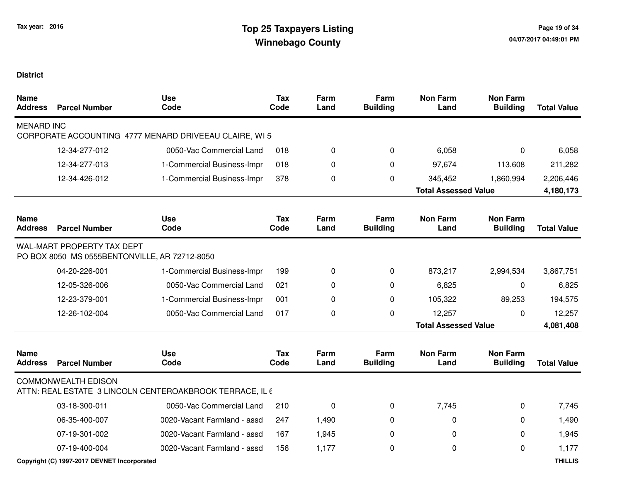| <b>Name</b><br><b>Address</b> | <b>Parcel Number</b>                                                        | <b>Use</b><br>Code                                       | <b>Tax</b><br>Code | Farm<br>Land | Farm<br><b>Building</b> | <b>Non Farm</b><br>Land     | <b>Non Farm</b><br><b>Building</b> | <b>Total Value</b> |
|-------------------------------|-----------------------------------------------------------------------------|----------------------------------------------------------|--------------------|--------------|-------------------------|-----------------------------|------------------------------------|--------------------|
| <b>MENARD INC</b>             |                                                                             | CORPORATE ACCOUNTING 4777 MENARD DRIVEEAU CLAIRE, WI 5   |                    |              |                         |                             |                                    |                    |
|                               | 12-34-277-012                                                               | 0050-Vac Commercial Land                                 | 018                | 0            | 0                       | 6,058                       | 0                                  | 6,058              |
|                               | 12-34-277-013                                                               | 1-Commercial Business-Impr                               | 018                | 0            | $\Omega$                | 97,674                      | 113,608                            | 211,282            |
|                               | 12-34-426-012                                                               | 1-Commercial Business-Impr                               | 378                | 0            | 0                       | 345,452                     | 1,860,994                          | 2,206,446          |
|                               |                                                                             |                                                          |                    |              |                         | <b>Total Assessed Value</b> |                                    | 4,180,173          |
| Name<br><b>Address</b>        | <b>Parcel Number</b>                                                        | <b>Use</b><br>Code                                       | <b>Tax</b><br>Code | Farm<br>Land | Farm<br><b>Building</b> | <b>Non Farm</b><br>Land     | <b>Non Farm</b><br><b>Building</b> | <b>Total Value</b> |
|                               | WAL-MART PROPERTY TAX DEPT<br>PO BOX 8050 MS 0555BENTONVILLE, AR 72712-8050 |                                                          |                    |              |                         |                             |                                    |                    |
|                               | 04-20-226-001                                                               | 1-Commercial Business-Impr                               | 199                | 0            | 0                       | 873,217                     | 2,994,534                          | 3,867,751          |
|                               | 12-05-326-006                                                               | 0050-Vac Commercial Land                                 | 021                | 0            | 0                       | 6,825                       | $\mathbf 0$                        | 6,825              |
|                               | 12-23-379-001                                                               | 1-Commercial Business-Impr                               | 001                | 0            | 0                       | 105,322                     | 89,253                             | 194,575            |
|                               | 12-26-102-004                                                               | 0050-Vac Commercial Land                                 | 017                | 0            | 0                       | 12,257                      | $\mathbf 0$                        | 12,257             |
|                               |                                                                             |                                                          |                    |              |                         | <b>Total Assessed Value</b> |                                    | 4,081,408          |
| <b>Name</b><br><b>Address</b> | <b>Parcel Number</b>                                                        | <b>Use</b><br>Code                                       | <b>Tax</b><br>Code | Farm<br>Land | Farm<br><b>Building</b> | <b>Non Farm</b><br>Land     | <b>Non Farm</b><br><b>Building</b> | <b>Total Value</b> |
|                               | <b>COMMONWEALTH EDISON</b>                                                  | ATTN: REAL ESTATE 3 LINCOLN CENTEROAKBROOK TERRACE, IL 6 |                    |              |                         |                             |                                    |                    |
|                               | 03-18-300-011                                                               | 0050-Vac Commercial Land                                 | 210                | 0            | 0                       | 7,745                       | 0                                  | 7,745              |
|                               | 06-35-400-007                                                               | 0020-Vacant Farmland - assd                              | 247                | 1,490        | 0                       | 0                           | 0                                  | 1,490              |
|                               | 07-19-301-002                                                               | 0020-Vacant Farmland - assd                              | 167                | 1,945        | 0                       | 0                           | 0                                  | 1,945              |
|                               | 07-19-400-004                                                               | 0020-Vacant Farmland - assd                              | 156                | 1,177        | 0                       | 0                           | $\Omega$                           | 1,177              |
|                               | Copyright (C) 1997-2017 DEVNET Incorporated                                 |                                                          |                    |              |                         |                             |                                    | <b>THILLIS</b>     |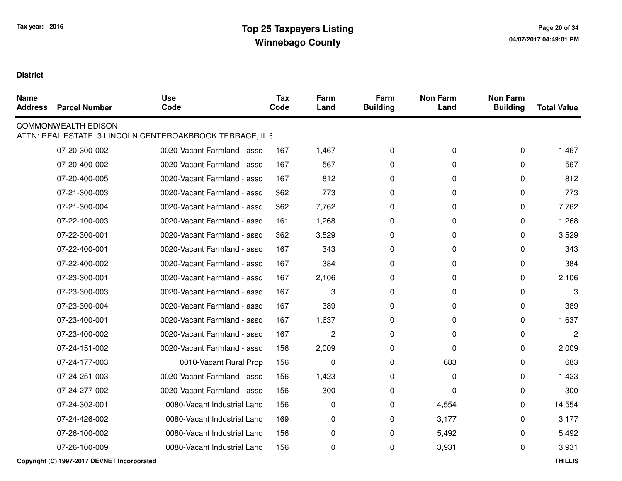| <b>Name</b><br><b>Address</b> | <b>Parcel Number</b>       | <b>Use</b><br>Code                                       | <b>Tax</b><br>Code | Farm<br>Land | Farm<br><b>Building</b> | <b>Non Farm</b><br>Land | <b>Non Farm</b><br><b>Building</b> | <b>Total Value</b> |
|-------------------------------|----------------------------|----------------------------------------------------------|--------------------|--------------|-------------------------|-------------------------|------------------------------------|--------------------|
|                               | <b>COMMONWEALTH EDISON</b> | ATTN: REAL ESTATE 3 LINCOLN CENTEROAKBROOK TERRACE, IL 6 |                    |              |                         |                         |                                    |                    |
|                               | 07-20-300-002              | 0020-Vacant Farmland - assd                              | 167                | 1,467        | 0                       | 0                       | 0                                  | 1,467              |
|                               | 07-20-400-002              | 0020-Vacant Farmland - assd                              | 167                | 567          | 0                       | 0                       | $\Omega$                           | 567                |
|                               | 07-20-400-005              | 0020-Vacant Farmland - assd                              | 167                | 812          | 0                       | 0                       | 0                                  | 812                |
|                               | 07-21-300-003              | 0020-Vacant Farmland - assd                              | 362                | 773          | 0                       | 0                       | 0                                  | 773                |
|                               | 07-21-300-004              | 0020-Vacant Farmland - assd                              | 362                | 7,762        | 0                       | 0                       | 0                                  | 7,762              |
|                               | 07-22-100-003              | 0020-Vacant Farmland - assd                              | 161                | 1,268        | 0                       | 0                       | 0                                  | 1,268              |
|                               | 07-22-300-001              | 0020-Vacant Farmland - assd                              | 362                | 3,529        | 0                       | 0                       | $\Omega$                           | 3,529              |
|                               | 07-22-400-001              | 0020-Vacant Farmland - assd                              | 167                | 343          | 0                       | 0                       | $\Omega$                           | 343                |
|                               | 07-22-400-002              | 0020-Vacant Farmland - assd                              | 167                | 384          | $\Omega$                | 0                       | 0                                  | 384                |
|                               | 07-23-300-001              | 0020-Vacant Farmland - assd                              | 167                | 2,106        | 0                       | 0                       | 0                                  | 2,106              |
|                               | 07-23-300-003              | 0020-Vacant Farmland - assd                              | 167                | 3            | 0                       | 0                       | $\Omega$                           | 3                  |
|                               | 07-23-300-004              | 0020-Vacant Farmland - assd                              | 167                | 389          | 0                       | 0                       | 0                                  | 389                |
|                               | 07-23-400-001              | 0020-Vacant Farmland - assd                              | 167                | 1,637        | 0                       | 0                       | $\Omega$                           | 1,637              |
|                               | 07-23-400-002              | 0020-Vacant Farmland - assd                              | 167                | 2            | 0                       | 0                       | $\Omega$                           | $\overline{c}$     |
|                               | 07-24-151-002              | 0020-Vacant Farmland - assd                              | 156                | 2,009        | 0                       | 0                       | 0                                  | 2,009              |
|                               | 07-24-177-003              | 0010-Vacant Rural Prop                                   | 156                | 0            | 0                       | 683                     | $\Omega$                           | 683                |
|                               | 07-24-251-003              | 0020-Vacant Farmland - assd                              | 156                | 1,423        | 0                       | 0                       | 0                                  | 1,423              |
|                               | 07-24-277-002              | 0020-Vacant Farmland - assd                              | 156                | 300          | 0                       | 0                       | $\Omega$                           | 300                |
|                               | 07-24-302-001              | 0080-Vacant Industrial Land                              | 156                | $\mathbf 0$  | 0                       | 14,554                  | $\Omega$                           | 14,554             |
|                               | 07-24-426-002              | 0080-Vacant Industrial Land                              | 169                | 0            | 0                       | 3,177                   | 0                                  | 3,177              |
|                               | 07-26-100-002              | 0080-Vacant Industrial Land                              | 156                | 0            | 0                       | 5,492                   | 0                                  | 5,492              |
|                               | 07-26-100-009              | 0080-Vacant Industrial Land                              | 156                | 0            | 0                       | 3,931                   | 0                                  | 3,931              |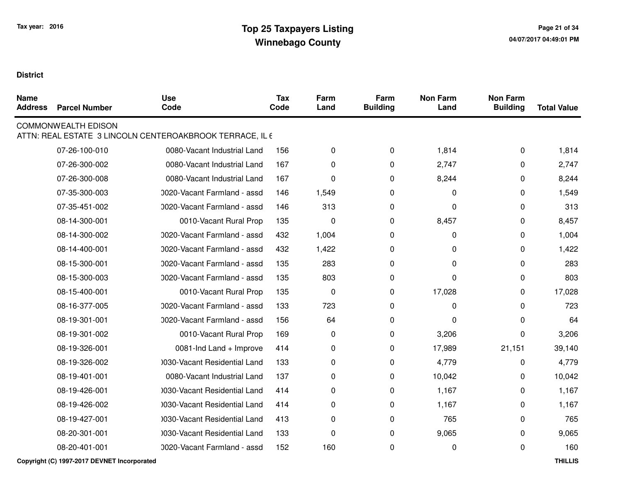| <b>Name</b><br><b>Address</b> | <b>Parcel Number</b>       | <b>Use</b><br>Code                                       | <b>Tax</b><br>Code | Farm<br>Land | Farm<br><b>Building</b> | <b>Non Farm</b><br>Land | <b>Non Farm</b><br><b>Building</b> | <b>Total Value</b> |
|-------------------------------|----------------------------|----------------------------------------------------------|--------------------|--------------|-------------------------|-------------------------|------------------------------------|--------------------|
|                               | <b>COMMONWEALTH EDISON</b> | ATTN: REAL ESTATE 3 LINCOLN CENTEROAKBROOK TERRACE, IL 6 |                    |              |                         |                         |                                    |                    |
|                               | 07-26-100-010              | 0080-Vacant Industrial Land                              | 156                | 0            | $\mathbf 0$             | 1,814                   | 0                                  | 1,814              |
|                               | 07-26-300-002              | 0080-Vacant Industrial Land                              | 167                | 0            | 0                       | 2,747                   | $\Omega$                           | 2,747              |
|                               | 07-26-300-008              | 0080-Vacant Industrial Land                              | 167                | 0            | 0                       | 8,244                   | 0                                  | 8,244              |
|                               | 07-35-300-003              | 0020-Vacant Farmland - assd                              | 146                | 1,549        | 0                       | 0                       | $\Omega$                           | 1,549              |
|                               | 07-35-451-002              | 0020-Vacant Farmland - assd                              | 146                | 313          | 0                       | 0                       | 0                                  | 313                |
|                               | 08-14-300-001              | 0010-Vacant Rural Prop                                   | 135                | 0            | 0                       | 8,457                   | 0                                  | 8,457              |
|                               | 08-14-300-002              | 0020-Vacant Farmland - assd                              | 432                | 1,004        | 0                       | 0                       | 0                                  | 1,004              |
|                               | 08-14-400-001              | 0020-Vacant Farmland - assd                              | 432                | 1,422        | 0                       | 0                       | 0                                  | 1,422              |
|                               | 08-15-300-001              | 0020-Vacant Farmland - assd                              | 135                | 283          | 0                       | 0                       | $\Omega$                           | 283                |
|                               | 08-15-300-003              | 0020-Vacant Farmland - assd                              | 135                | 803          | 0                       | 0                       | 0                                  | 803                |
|                               | 08-15-400-001              | 0010-Vacant Rural Prop                                   | 135                | $\pmb{0}$    | 0                       | 17,028                  | 0                                  | 17,028             |
|                               | 08-16-377-005              | 0020-Vacant Farmland - assd                              | 133                | 723          | 0                       | 0                       | 0                                  | 723                |
|                               | 08-19-301-001              | 0020-Vacant Farmland - assd                              | 156                | 64           | 0                       | $\Omega$                | 0                                  | 64                 |
|                               | 08-19-301-002              | 0010-Vacant Rural Prop                                   | 169                | 0            | 0                       | 3,206                   | 0                                  | 3,206              |
|                               | 08-19-326-001              | 0081-Ind Land + Improve                                  | 414                | 0            | 0                       | 17,989                  | 21,151                             | 39,140             |
|                               | 08-19-326-002              | 1030-Vacant Residential Land                             | 133                | 0            | 0                       | 4,779                   | 0                                  | 4,779              |
|                               | 08-19-401-001              | 0080-Vacant Industrial Land                              | 137                | 0            | 0                       | 10,042                  | 0                                  | 10,042             |
|                               | 08-19-426-001              | 1030-Vacant Residential Land                             | 414                | 0            | 0                       | 1,167                   | 0                                  | 1,167              |
|                               | 08-19-426-002              | 1030-Vacant Residential Land                             | 414                | 0            | 0                       | 1,167                   | 0                                  | 1,167              |
|                               | 08-19-427-001              | 1030-Vacant Residential Land                             | 413                | 0            | 0                       | 765                     | $\Omega$                           | 765                |
|                               | 08-20-301-001              | 1030-Vacant Residential Land                             | 133                | 0            | 0                       | 9,065                   | 0                                  | 9,065              |
|                               | 08-20-401-001              | 0020-Vacant Farmland - assd                              | 152                | 160          | 0                       | 0                       | 0                                  | 160                |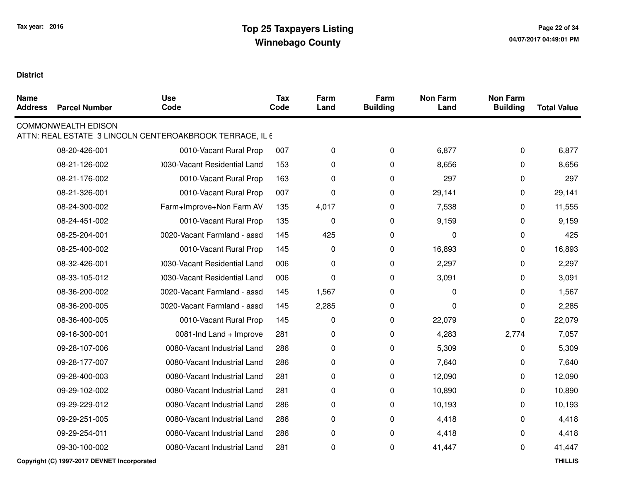| <b>Name</b><br><b>Address</b> | <b>Parcel Number</b>       | <b>Use</b><br>Code                                       | <b>Tax</b><br>Code | Farm<br>Land | Farm<br><b>Building</b> | <b>Non Farm</b><br>Land | <b>Non Farm</b><br><b>Building</b> | <b>Total Value</b> |
|-------------------------------|----------------------------|----------------------------------------------------------|--------------------|--------------|-------------------------|-------------------------|------------------------------------|--------------------|
|                               | <b>COMMONWEALTH EDISON</b> | ATTN: REAL ESTATE 3 LINCOLN CENTEROAKBROOK TERRACE, IL 6 |                    |              |                         |                         |                                    |                    |
|                               | 08-20-426-001              | 0010-Vacant Rural Prop                                   | 007                | 0            | $\mathbf 0$             | 6,877                   | 0                                  | 6,877              |
|                               | 08-21-126-002              | 1030-Vacant Residential Land                             | 153                | 0            | 0                       | 8,656                   | $\Omega$                           | 8,656              |
|                               | 08-21-176-002              | 0010-Vacant Rural Prop                                   | 163                | 0            | 0                       | 297                     | 0                                  | 297                |
|                               | 08-21-326-001              | 0010-Vacant Rural Prop                                   | 007                | 0            | 0                       | 29,141                  | 0                                  | 29,141             |
|                               | 08-24-300-002              | Farm+Improve+Non Farm AV                                 | 135                | 4,017        | 0                       | 7,538                   | 0                                  | 11,555             |
|                               | 08-24-451-002              | 0010-Vacant Rural Prop                                   | 135                | 0            | 0                       | 9,159                   | 0                                  | 9,159              |
|                               | 08-25-204-001              | 0020-Vacant Farmland - assd                              | 145                | 425          | 0                       | 0                       | 0                                  | 425                |
|                               | 08-25-400-002              | 0010-Vacant Rural Prop                                   | 145                | $\mathbf 0$  | 0                       | 16,893                  | 0                                  | 16,893             |
|                               | 08-32-426-001              | 1030-Vacant Residential Land                             | 006                | 0            | 0                       | 2,297                   | 0                                  | 2,297              |
|                               | 08-33-105-012              | 1030-Vacant Residential Land                             | 006                | 0            | 0                       | 3,091                   | 0                                  | 3,091              |
|                               | 08-36-200-002              | 0020-Vacant Farmland - assd                              | 145                | 1,567        | 0                       | $\mathbf 0$             | $\Omega$                           | 1,567              |
|                               | 08-36-200-005              | 0020-Vacant Farmland - assd                              | 145                | 2,285        | 0                       | 0                       | 0                                  | 2,285              |
|                               | 08-36-400-005              | 0010-Vacant Rural Prop                                   | 145                | 0            | 0                       | 22,079                  | 0                                  | 22,079             |
|                               | 09-16-300-001              | 0081-Ind Land + Improve                                  | 281                | 0            | 0                       | 4,283                   | 2,774                              | 7,057              |
|                               | 09-28-107-006              | 0080-Vacant Industrial Land                              | 286                | 0            | 0                       | 5,309                   | 0                                  | 5,309              |
|                               | 09-28-177-007              | 0080-Vacant Industrial Land                              | 286                | 0            | 0                       | 7,640                   | 0                                  | 7,640              |
|                               | 09-28-400-003              | 0080-Vacant Industrial Land                              | 281                | 0            | 0                       | 12,090                  | 0                                  | 12,090             |
|                               | 09-29-102-002              | 0080-Vacant Industrial Land                              | 281                | 0            | 0                       | 10,890                  | $\Omega$                           | 10,890             |
|                               | 09-29-229-012              | 0080-Vacant Industrial Land                              | 286                | 0            | $\mathbf 0$             | 10,193                  | 0                                  | 10,193             |
|                               | 09-29-251-005              | 0080-Vacant Industrial Land                              | 286                | 0            | 0                       | 4,418                   | 0                                  | 4,418              |
|                               | 09-29-254-011              | 0080-Vacant Industrial Land                              | 286                | 0            | 0                       | 4,418                   | 0                                  | 4,418              |
|                               | 09-30-100-002              | 0080-Vacant Industrial Land                              | 281                | 0            | 0                       | 41,447                  | 0                                  | 41,447             |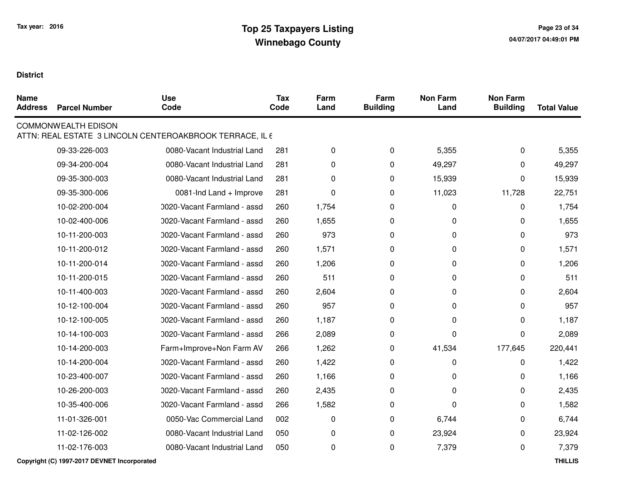| <b>Name</b><br><b>Address</b> | <b>Parcel Number</b>       | <b>Use</b><br>Code                                       | <b>Tax</b><br>Code | Farm<br>Land | Farm<br><b>Building</b> | <b>Non Farm</b><br>Land | <b>Non Farm</b><br><b>Building</b> | <b>Total Value</b> |
|-------------------------------|----------------------------|----------------------------------------------------------|--------------------|--------------|-------------------------|-------------------------|------------------------------------|--------------------|
|                               | <b>COMMONWEALTH EDISON</b> | ATTN: REAL ESTATE 3 LINCOLN CENTEROAKBROOK TERRACE, IL 6 |                    |              |                         |                         |                                    |                    |
|                               | 09-33-226-003              | 0080-Vacant Industrial Land                              | 281                | 0            | $\mathbf 0$             | 5,355                   | 0                                  | 5,355              |
|                               | 09-34-200-004              | 0080-Vacant Industrial Land                              | 281                | 0            | 0                       | 49,297                  | 0                                  | 49,297             |
|                               | 09-35-300-003              | 0080-Vacant Industrial Land                              | 281                | 0            | 0                       | 15,939                  | $\Omega$                           | 15,939             |
|                               | 09-35-300-006              | 0081-Ind Land + Improve                                  | 281                | 0            | 0                       | 11,023                  | 11,728                             | 22,751             |
|                               | 10-02-200-004              | 0020-Vacant Farmland - assd                              | 260                | 1,754        | 0                       | 0                       | $\Omega$                           | 1,754              |
|                               | 10-02-400-006              | 0020-Vacant Farmland - assd                              | 260                | 1,655        | 0                       | 0                       | $\Omega$                           | 1,655              |
|                               | 10-11-200-003              | 0020-Vacant Farmland - assd                              | 260                | 973          | 0                       | 0                       | 0                                  | 973                |
|                               | 10-11-200-012              | 0020-Vacant Farmland - assd                              | 260                | 1,571        | 0                       | 0                       | 0                                  | 1,571              |
|                               | 10-11-200-014              | 0020-Vacant Farmland - assd                              | 260                | 1,206        | 0                       | 0                       | $\Omega$                           | 1,206              |
|                               | 10-11-200-015              | 0020-Vacant Farmland - assd                              | 260                | 511          | 0                       | 0                       | $\Omega$                           | 511                |
|                               | 10-11-400-003              | 0020-Vacant Farmland - assd                              | 260                | 2,604        | 0                       | $\pmb{0}$               | 0                                  | 2,604              |
|                               | 10-12-100-004              | 0020-Vacant Farmland - assd                              | 260                | 957          | 0                       | 0                       | $\Omega$                           | 957                |
|                               | 10-12-100-005              | 0020-Vacant Farmland - assd                              | 260                | 1,187        | 0                       | $\mathbf 0$             | 0                                  | 1,187              |
|                               | 10-14-100-003              | 0020-Vacant Farmland - assd                              | 266                | 2,089        | 0                       | 0                       | $\Omega$                           | 2,089              |
|                               | 10-14-200-003              | Farm+Improve+Non Farm AV                                 | 266                | 1,262        | 0                       | 41,534                  | 177,645                            | 220,441            |
|                               | 10-14-200-004              | 0020-Vacant Farmland - assd                              | 260                | 1,422        | 0                       | 0                       | 0                                  | 1,422              |
|                               | 10-23-400-007              | 0020-Vacant Farmland - assd                              | 260                | 1,166        | 0                       | 0                       | $\Omega$                           | 1,166              |
|                               | 10-26-200-003              | 0020-Vacant Farmland - assd                              | 260                | 2,435        | 0                       | 0                       | 0                                  | 2,435              |
|                               | 10-35-400-006              | 0020-Vacant Farmland - assd                              | 266                | 1,582        | $\mathbf 0$             | $\Omega$                | 0                                  | 1,582              |
|                               | 11-01-326-001              | 0050-Vac Commercial Land                                 | 002                | 0            | 0                       | 6,744                   | 0                                  | 6,744              |
|                               | 11-02-126-002              | 0080-Vacant Industrial Land                              | 050                | 0            | 0                       | 23,924                  | 0                                  | 23,924             |
|                               | 11-02-176-003              | 0080-Vacant Industrial Land                              | 050                | 0            | 0                       | 7,379                   | 0                                  | 7,379              |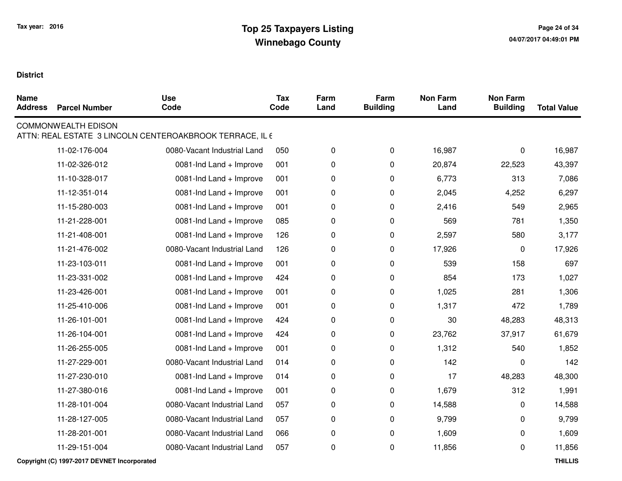| <b>Name</b><br><b>Address</b> | <b>Parcel Number</b>       | <b>Use</b><br>Code                                       | <b>Tax</b><br>Code | Farm<br>Land | Farm<br><b>Building</b> | <b>Non Farm</b><br>Land | <b>Non Farm</b><br><b>Building</b> | <b>Total Value</b> |
|-------------------------------|----------------------------|----------------------------------------------------------|--------------------|--------------|-------------------------|-------------------------|------------------------------------|--------------------|
|                               | <b>COMMONWEALTH EDISON</b> | ATTN: REAL ESTATE 3 LINCOLN CENTEROAKBROOK TERRACE, IL 6 |                    |              |                         |                         |                                    |                    |
|                               | 11-02-176-004              | 0080-Vacant Industrial Land                              | 050                | 0            | $\mathbf 0$             | 16,987                  | 0                                  | 16,987             |
|                               | 11-02-326-012              | 0081-Ind Land + Improve                                  | 001                | 0            | 0                       | 20,874                  | 22,523                             | 43,397             |
|                               | 11-10-328-017              | 0081-Ind Land + Improve                                  | 001                | 0            | 0                       | 6,773                   | 313                                | 7,086              |
|                               | 11-12-351-014              | 0081-Ind Land + Improve                                  | 001                | 0            | 0                       | 2,045                   | 4,252                              | 6,297              |
|                               | 11-15-280-003              | 0081-Ind Land + Improve                                  | 001                | 0            | 0                       | 2,416                   | 549                                | 2,965              |
|                               | 11-21-228-001              | 0081-Ind Land + Improve                                  | 085                | 0            | 0                       | 569                     | 781                                | 1,350              |
|                               | 11-21-408-001              | 0081-Ind Land + Improve                                  | 126                | 0            | 0                       | 2,597                   | 580                                | 3,177              |
|                               | 11-21-476-002              | 0080-Vacant Industrial Land                              | 126                | 0            | 0                       | 17,926                  | 0                                  | 17,926             |
|                               | 11-23-103-011              | 0081-Ind Land + Improve                                  | 001                | 0            | 0                       | 539                     | 158                                | 697                |
|                               | 11-23-331-002              | 0081-Ind Land + Improve                                  | 424                | 0            | 0                       | 854                     | 173                                | 1,027              |
|                               | 11-23-426-001              | 0081-Ind Land + Improve                                  | 001                | 0            | 0                       | 1,025                   | 281                                | 1,306              |
|                               | 11-25-410-006              | 0081-Ind Land + Improve                                  | 001                | 0            | 0                       | 1,317                   | 472                                | 1,789              |
|                               | 11-26-101-001              | 0081-Ind Land + Improve                                  | 424                | 0            | 0                       | 30                      | 48,283                             | 48,313             |
|                               | 11-26-104-001              | 0081-Ind Land + Improve                                  | 424                | 0            | 0                       | 23,762                  | 37,917                             | 61,679             |
|                               | 11-26-255-005              | 0081-Ind Land + Improve                                  | 001                | 0            | 0                       | 1,312                   | 540                                | 1,852              |
|                               | 11-27-229-001              | 0080-Vacant Industrial Land                              | 014                | 0            | 0                       | 142                     | 0                                  | 142                |
|                               | 11-27-230-010              | 0081-Ind Land + Improve                                  | 014                | 0            | 0                       | 17                      | 48,283                             | 48,300             |
|                               | 11-27-380-016              | 0081-Ind Land + Improve                                  | 001                | 0            | $\pmb{0}$               | 1,679                   | 312                                | 1,991              |
|                               | 11-28-101-004              | 0080-Vacant Industrial Land                              | 057                | 0            | $\mathbf 0$             | 14,588                  | 0                                  | 14,588             |
|                               | 11-28-127-005              | 0080-Vacant Industrial Land                              | 057                | 0            | 0                       | 9,799                   | 0                                  | 9,799              |
|                               | 11-28-201-001              | 0080-Vacant Industrial Land                              | 066                | 0            | 0                       | 1,609                   | 0                                  | 1,609              |
|                               | 11-29-151-004              | 0080-Vacant Industrial Land                              | 057                | 0            | 0                       | 11,856                  | 0                                  | 11,856             |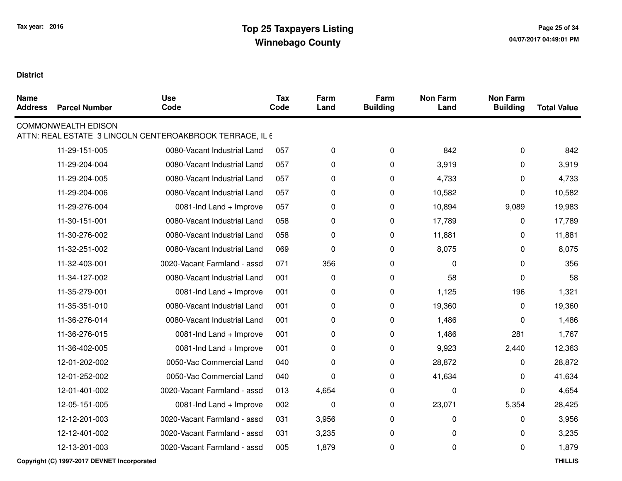| <b>Name</b><br><b>Address</b> | <b>Parcel Number</b>       | <b>Use</b><br>Code                                       | <b>Tax</b><br>Code | Farm<br>Land | Farm<br><b>Building</b> | <b>Non Farm</b><br>Land | <b>Non Farm</b><br><b>Building</b> | <b>Total Value</b> |
|-------------------------------|----------------------------|----------------------------------------------------------|--------------------|--------------|-------------------------|-------------------------|------------------------------------|--------------------|
|                               | <b>COMMONWEALTH EDISON</b> | ATTN: REAL ESTATE 3 LINCOLN CENTEROAKBROOK TERRACE, IL 6 |                    |              |                         |                         |                                    |                    |
|                               | 11-29-151-005              | 0080-Vacant Industrial Land                              | 057                | 0            | 0                       | 842                     | 0                                  | 842                |
|                               | 11-29-204-004              | 0080-Vacant Industrial Land                              | 057                | 0            | 0                       | 3,919                   | 0                                  | 3,919              |
|                               | 11-29-204-005              | 0080-Vacant Industrial Land                              | 057                | 0            | 0                       | 4,733                   | 0                                  | 4,733              |
|                               | 11-29-204-006              | 0080-Vacant Industrial Land                              | 057                | 0            | 0                       | 10,582                  | 0                                  | 10,582             |
|                               | 11-29-276-004              | 0081-Ind Land + Improve                                  | 057                | 0            | 0                       | 10,894                  | 9,089                              | 19,983             |
|                               | 11-30-151-001              | 0080-Vacant Industrial Land                              | 058                | 0            | 0                       | 17,789                  | 0                                  | 17,789             |
|                               | 11-30-276-002              | 0080-Vacant Industrial Land                              | 058                | 0            | 0                       | 11,881                  | 0                                  | 11,881             |
|                               | 11-32-251-002              | 0080-Vacant Industrial Land                              | 069                | 0            | 0                       | 8,075                   | 0                                  | 8,075              |
|                               | 11-32-403-001              | 0020-Vacant Farmland - assd                              | 071                | 356          | 0                       | $\mathbf{0}$            | $\Omega$                           | 356                |
|                               | 11-34-127-002              | 0080-Vacant Industrial Land                              | 001                | $\pmb{0}$    | 0                       | 58                      | $\Omega$                           | 58                 |
|                               | 11-35-279-001              | 0081-Ind Land + Improve                                  | 001                | 0            | 0                       | 1,125                   | 196                                | 1,321              |
|                               | 11-35-351-010              | 0080-Vacant Industrial Land                              | 001                | 0            | $\pmb{0}$               | 19,360                  | 0                                  | 19,360             |
|                               | 11-36-276-014              | 0080-Vacant Industrial Land                              | 001                | 0            | 0                       | 1,486                   | 0                                  | 1,486              |
|                               | 11-36-276-015              | 0081-Ind Land + Improve                                  | 001                | 0            | 0                       | 1,486                   | 281                                | 1,767              |
|                               | 11-36-402-005              | 0081-Ind Land + Improve                                  | 001                | 0            | 0                       | 9,923                   | 2,440                              | 12,363             |
|                               | 12-01-202-002              | 0050-Vac Commercial Land                                 | 040                | 0            | 0                       | 28,872                  | 0                                  | 28,872             |
|                               | 12-01-252-002              | 0050-Vac Commercial Land                                 | 040                | 0            | 0                       | 41,634                  | 0                                  | 41,634             |
|                               | 12-01-401-002              | 0020-Vacant Farmland - assd                              | 013                | 4,654        | 0                       | 0                       | 0                                  | 4,654              |
|                               | 12-05-151-005              | 0081-Ind Land + Improve                                  | 002                | 0            | $\mathbf 0$             | 23,071                  | 5,354                              | 28,425             |
|                               | 12-12-201-003              | 0020-Vacant Farmland - assd                              | 031                | 3,956        | $\pmb{0}$               | 0                       | $\Omega$                           | 3,956              |
|                               | 12-12-401-002              | 0020-Vacant Farmland - assd                              | 031                | 3,235        | $\mathbf 0$             | 0                       | 0                                  | 3,235              |
|                               | 12-13-201-003              | 0020-Vacant Farmland - assd                              | 005                | 1,879        | 0                       | 0                       | 0                                  | 1,879              |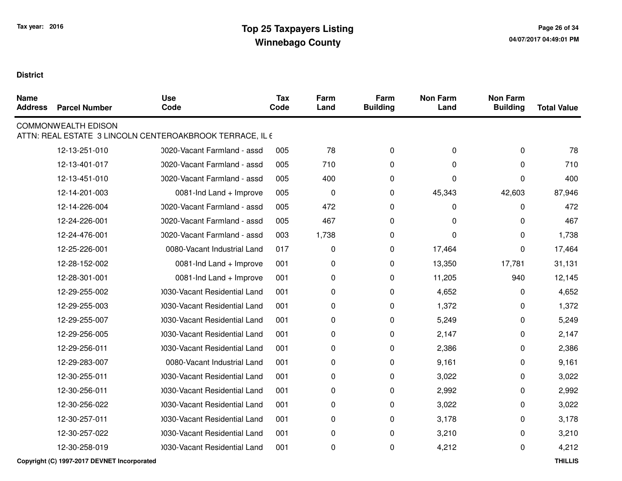| <b>Name</b><br><b>Address</b> | <b>Parcel Number</b>       | <b>Use</b><br>Code                                       | <b>Tax</b><br>Code | Farm<br>Land | Farm<br><b>Building</b> | <b>Non Farm</b><br>Land | <b>Non Farm</b><br><b>Building</b> | <b>Total Value</b> |
|-------------------------------|----------------------------|----------------------------------------------------------|--------------------|--------------|-------------------------|-------------------------|------------------------------------|--------------------|
|                               | <b>COMMONWEALTH EDISON</b> | ATTN: REAL ESTATE 3 LINCOLN CENTEROAKBROOK TERRACE, IL 6 |                    |              |                         |                         |                                    |                    |
|                               | 12-13-251-010              | 0020-Vacant Farmland - assd                              | 005                | 78           | 0                       | 0                       | 0                                  | 78                 |
|                               | 12-13-401-017              | 0020-Vacant Farmland - assd                              | 005                | 710          | 0                       | 0                       | $\Omega$                           | 710                |
|                               | 12-13-451-010              | 0020-Vacant Farmland - assd                              | 005                | 400          | 0                       | 0                       | $\Omega$                           | 400                |
|                               | 12-14-201-003              | 0081-Ind Land + Improve                                  | 005                | $\pmb{0}$    | 0                       | 45,343                  | 42,603                             | 87,946             |
|                               | 12-14-226-004              | 0020-Vacant Farmland - assd                              | 005                | 472          | 0                       | 0                       | 0                                  | 472                |
|                               | 12-24-226-001              | 0020-Vacant Farmland - assd                              | 005                | 467          | 0                       | $\Omega$                | 0                                  | 467                |
|                               | 12-24-476-001              | 0020-Vacant Farmland - assd                              | 003                | 1,738        | 0                       | $\Omega$                | 0                                  | 1,738              |
|                               | 12-25-226-001              | 0080-Vacant Industrial Land                              | 017                | 0            | 0                       | 17,464                  | 0                                  | 17,464             |
|                               | 12-28-152-002              | 0081-Ind Land + Improve                                  | 001                | 0            | 0                       | 13,350                  | 17,781                             | 31,131             |
|                               | 12-28-301-001              | 0081-Ind Land + Improve                                  | 001                | 0            | 0                       | 11,205                  | 940                                | 12,145             |
|                               | 12-29-255-002              | 1030-Vacant Residential Land                             | 001                | 0            | 0                       | 4,652                   | 0                                  | 4,652              |
|                               | 12-29-255-003              | 0030-Vacant Residential Land                             | 001                | 0            | 0                       | 1,372                   | 0                                  | 1,372              |
|                               | 12-29-255-007              | 1030-Vacant Residential Land                             | 001                | 0            | 0                       | 5,249                   | 0                                  | 5,249              |
|                               | 12-29-256-005              | 1030-Vacant Residential Land                             | 001                | 0            | 0                       | 2,147                   | 0                                  | 2,147              |
|                               | 12-29-256-011              | 0030-Vacant Residential Land                             | 001                | 0            | 0                       | 2,386                   | 0                                  | 2,386              |
|                               | 12-29-283-007              | 0080-Vacant Industrial Land                              | 001                | 0            | 0                       | 9,161                   | 0                                  | 9,161              |
|                               | 12-30-255-011              | 1030-Vacant Residential Land                             | 001                | 0            | 0                       | 3,022                   | 0                                  | 3,022              |
|                               | 12-30-256-011              | 1030-Vacant Residential Land                             | 001                | 0            | 0                       | 2,992                   | 0                                  | 2,992              |
|                               | 12-30-256-022              | 1030-Vacant Residential Land                             | 001                | 0            | 0                       | 3,022                   | 0                                  | 3,022              |
|                               | 12-30-257-011              | 0030-Vacant Residential Land                             | 001                | 0            | 0                       | 3,178                   | 0                                  | 3,178              |
|                               | 12-30-257-022              | 1030-Vacant Residential Land                             | 001                | 0            | 0                       | 3,210                   | 0                                  | 3,210              |
|                               | 12-30-258-019              | 0030-Vacant Residential Land                             | 001                | 0            | 0                       | 4,212                   | 0                                  | 4,212              |
|                               |                            |                                                          |                    |              |                         |                         |                                    |                    |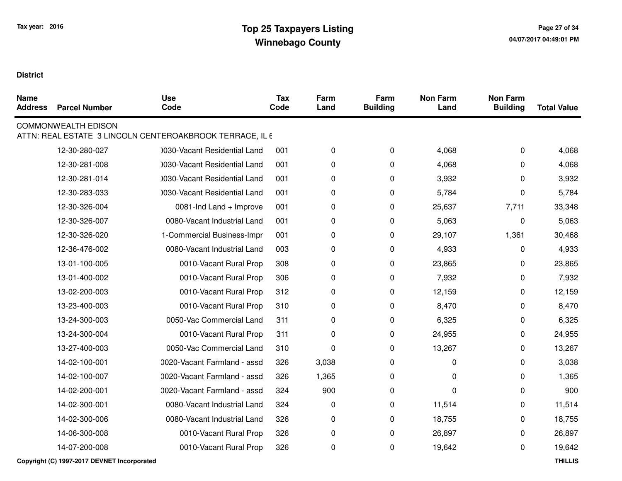| <b>Name</b><br><b>Address</b> | <b>Parcel Number</b>       | <b>Use</b><br>Code                                       | <b>Tax</b><br>Code | Farm<br>Land | Farm<br><b>Building</b> | <b>Non Farm</b><br>Land | <b>Non Farm</b><br><b>Building</b> | <b>Total Value</b> |
|-------------------------------|----------------------------|----------------------------------------------------------|--------------------|--------------|-------------------------|-------------------------|------------------------------------|--------------------|
|                               | <b>COMMONWEALTH EDISON</b> | ATTN: REAL ESTATE 3 LINCOLN CENTEROAKBROOK TERRACE, IL 6 |                    |              |                         |                         |                                    |                    |
|                               | 12-30-280-027              | 1030-Vacant Residential Land                             | 001                | 0            | $\mathbf 0$             | 4,068                   | 0                                  | 4,068              |
|                               | 12-30-281-008              | 1030-Vacant Residential Land                             | 001                | 0            | 0                       | 4,068                   | 0                                  | 4,068              |
|                               | 12-30-281-014              | 0030-Vacant Residential Land                             | 001                | 0            | 0                       | 3,932                   | 0                                  | 3,932              |
|                               | 12-30-283-033              | 1030-Vacant Residential Land                             | 001                | 0            | 0                       | 5,784                   | 0                                  | 5,784              |
|                               | 12-30-326-004              | 0081-Ind Land + Improve                                  | 001                | 0            | 0                       | 25,637                  | 7,711                              | 33,348             |
|                               | 12-30-326-007              | 0080-Vacant Industrial Land                              | 001                | 0            | 0                       | 5,063                   | 0                                  | 5,063              |
|                               | 12-30-326-020              | 1-Commercial Business-Impr                               | 001                | 0            | 0                       | 29,107                  | 1,361                              | 30,468             |
|                               | 12-36-476-002              | 0080-Vacant Industrial Land                              | 003                | 0            | $\pmb{0}$               | 4,933                   | 0                                  | 4,933              |
|                               | 13-01-100-005              | 0010-Vacant Rural Prop                                   | 308                | 0            | 0                       | 23,865                  | 0                                  | 23,865             |
|                               | 13-01-400-002              | 0010-Vacant Rural Prop                                   | 306                | 0            | 0                       | 7,932                   | 0                                  | 7,932              |
|                               | 13-02-200-003              | 0010-Vacant Rural Prop                                   | 312                | 0            | 0                       | 12,159                  | 0                                  | 12,159             |
|                               | 13-23-400-003              | 0010-Vacant Rural Prop                                   | 310                | 0            | 0                       | 8,470                   | 0                                  | 8,470              |
|                               | 13-24-300-003              | 0050-Vac Commercial Land                                 | 311                | 0            | 0                       | 6,325                   | 0                                  | 6,325              |
|                               | 13-24-300-004              | 0010-Vacant Rural Prop                                   | 311                | 0            | 0                       | 24,955                  | 0                                  | 24,955             |
|                               | 13-27-400-003              | 0050-Vac Commercial Land                                 | 310                | 0            | 0                       | 13,267                  | 0                                  | 13,267             |
|                               | 14-02-100-001              | 0020-Vacant Farmland - assd                              | 326                | 3,038        | 0                       | 0                       | $\Omega$                           | 3,038              |
|                               | 14-02-100-007              | 0020-Vacant Farmland - assd                              | 326                | 1,365        | 0                       | 0                       | 0                                  | 1,365              |
|                               | 14-02-200-001              | 0020-Vacant Farmland - assd                              | 324                | 900          | 0                       | 0                       | $\Omega$                           | 900                |
|                               | 14-02-300-001              | 0080-Vacant Industrial Land                              | 324                | 0            | $\mathbf 0$             | 11,514                  | 0                                  | 11,514             |
|                               | 14-02-300-006              | 0080-Vacant Industrial Land                              | 326                | 0            | 0                       | 18,755                  | 0                                  | 18,755             |
|                               | 14-06-300-008              | 0010-Vacant Rural Prop                                   | 326                | 0            | 0                       | 26,897                  | 0                                  | 26,897             |
|                               | 14-07-200-008              | 0010-Vacant Rural Prop                                   | 326                | 0            | 0                       | 19,642                  | 0                                  | 19,642             |
|                               |                            |                                                          |                    |              |                         |                         |                                    |                    |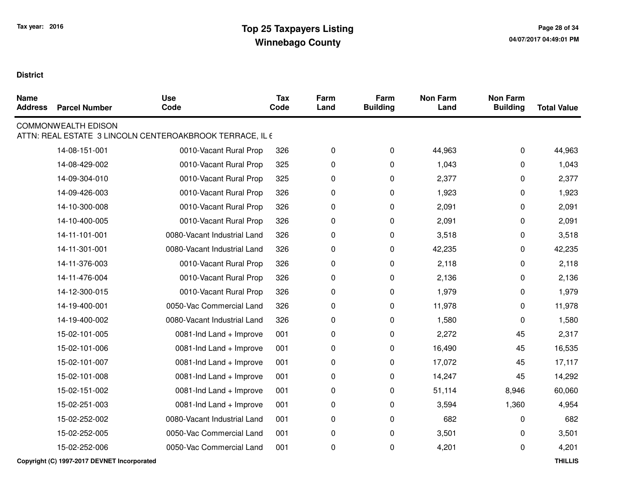| <b>Name</b><br><b>Address</b> | <b>Parcel Number</b>       | <b>Use</b><br>Code                                       | <b>Tax</b><br>Code | Farm<br>Land | Farm<br><b>Building</b> | <b>Non Farm</b><br>Land | <b>Non Farm</b><br><b>Building</b> | <b>Total Value</b> |
|-------------------------------|----------------------------|----------------------------------------------------------|--------------------|--------------|-------------------------|-------------------------|------------------------------------|--------------------|
|                               | <b>COMMONWEALTH EDISON</b> | ATTN: REAL ESTATE 3 LINCOLN CENTEROAKBROOK TERRACE, IL 6 |                    |              |                         |                         |                                    |                    |
|                               | 14-08-151-001              | 0010-Vacant Rural Prop                                   | 326                | 0            | 0                       | 44,963                  | 0                                  | 44,963             |
|                               | 14-08-429-002              | 0010-Vacant Rural Prop                                   | 325                | 0            | 0                       | 1,043                   | 0                                  | 1,043              |
|                               | 14-09-304-010              | 0010-Vacant Rural Prop                                   | 325                | 0            | 0                       | 2,377                   | 0                                  | 2,377              |
|                               | 14-09-426-003              | 0010-Vacant Rural Prop                                   | 326                | 0            | 0                       | 1,923                   | 0                                  | 1,923              |
|                               | 14-10-300-008              | 0010-Vacant Rural Prop                                   | 326                | 0            | 0                       | 2,091                   | 0                                  | 2,091              |
|                               | 14-10-400-005              | 0010-Vacant Rural Prop                                   | 326                | 0            | 0                       | 2,091                   | 0                                  | 2,091              |
|                               | 14-11-101-001              | 0080-Vacant Industrial Land                              | 326                | 0            | 0                       | 3,518                   | 0                                  | 3,518              |
|                               | 14-11-301-001              | 0080-Vacant Industrial Land                              | 326                | 0            | 0                       | 42,235                  | 0                                  | 42,235             |
|                               | 14-11-376-003              | 0010-Vacant Rural Prop                                   | 326                | 0            | 0                       | 2,118                   | 0                                  | 2,118              |
|                               | 14-11-476-004              | 0010-Vacant Rural Prop                                   | 326                | 0            | 0                       | 2,136                   | 0                                  | 2,136              |
|                               | 14-12-300-015              | 0010-Vacant Rural Prop                                   | 326                | 0            | $\pmb{0}$               | 1,979                   | 0                                  | 1,979              |
|                               | 14-19-400-001              | 0050-Vac Commercial Land                                 | 326                | 0            | 0                       | 11,978                  | 0                                  | 11,978             |
|                               | 14-19-400-002              | 0080-Vacant Industrial Land                              | 326                | 0            | $\pmb{0}$               | 1,580                   | 0                                  | 1,580              |
|                               | 15-02-101-005              | 0081-Ind Land + Improve                                  | 001                | 0            | 0                       | 2,272                   | 45                                 | 2,317              |
|                               | 15-02-101-006              | 0081-Ind Land + Improve                                  | 001                | 0            | 0                       | 16,490                  | 45                                 | 16,535             |
|                               | 15-02-101-007              | 0081-Ind Land + Improve                                  | 001                | 0            | 0                       | 17,072                  | 45                                 | 17,117             |
|                               | 15-02-101-008              | 0081-Ind Land + Improve                                  | 001                | 0            | 0                       | 14,247                  | 45                                 | 14,292             |
|                               | 15-02-151-002              | 0081-Ind Land + Improve                                  | 001                | 0            | 0                       | 51,114                  | 8,946                              | 60,060             |
|                               | 15-02-251-003              | 0081-Ind Land + Improve                                  | 001                | 0            | $\mathbf 0$             | 3,594                   | 1,360                              | 4,954              |
|                               | 15-02-252-002              | 0080-Vacant Industrial Land                              | 001                | 0            | 0                       | 682                     | 0                                  | 682                |
|                               | 15-02-252-005              | 0050-Vac Commercial Land                                 | 001                | 0            | $\pmb{0}$               | 3,501                   | 0                                  | 3,501              |
|                               | 15-02-252-006              | 0050-Vac Commercial Land                                 | 001                | 0            | 0                       | 4,201                   | 0                                  | 4,201              |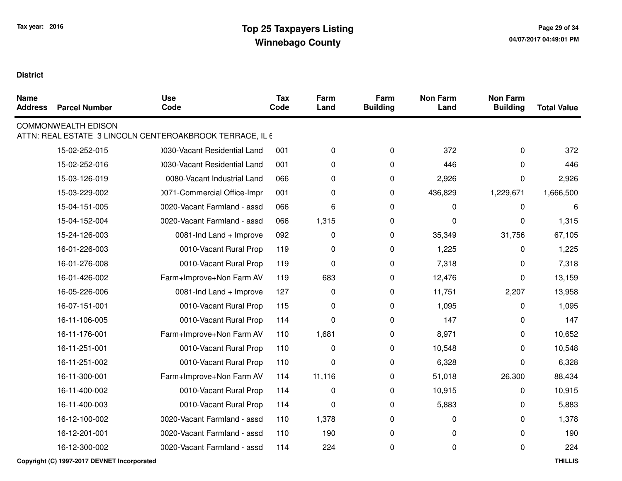| <b>Name</b><br><b>Address</b> | <b>Parcel Number</b>       | <b>Use</b><br>Code                                       | <b>Tax</b><br>Code | Farm<br>Land | Farm<br><b>Building</b> | <b>Non Farm</b><br>Land | <b>Non Farm</b><br><b>Building</b> | <b>Total Value</b> |
|-------------------------------|----------------------------|----------------------------------------------------------|--------------------|--------------|-------------------------|-------------------------|------------------------------------|--------------------|
|                               | <b>COMMONWEALTH EDISON</b> | ATTN: REAL ESTATE 3 LINCOLN CENTEROAKBROOK TERRACE, IL 6 |                    |              |                         |                         |                                    |                    |
|                               | 15-02-252-015              | 1030-Vacant Residential Land                             | 001                | 0            | 0                       | 372                     | 0                                  | 372                |
|                               | 15-02-252-016              | 0030-Vacant Residential Land                             | 001                | 0            | $\pmb{0}$               | 446                     | 0                                  | 446                |
|                               | 15-03-126-019              | 0080-Vacant Industrial Land                              | 066                | 0            | 0                       | 2,926                   | 0                                  | 2,926              |
|                               | 15-03-229-002              | 0071-Commercial Office-Impr                              | 001                | 0            | $\pmb{0}$               | 436,829                 | 1,229,671                          | 1,666,500          |
|                               | 15-04-151-005              | 0020-Vacant Farmland - assd                              | 066                | 6            | $\pmb{0}$               | 0                       | 0                                  | 6                  |
|                               | 15-04-152-004              | 0020-Vacant Farmland - assd                              | 066                | 1,315        | $\pmb{0}$               | 0                       | 0                                  | 1,315              |
|                               | 15-24-126-003              | 0081-Ind Land + Improve                                  | 092                | 0            | 0                       | 35,349                  | 31,756                             | 67,105             |
|                               | 16-01-226-003              | 0010-Vacant Rural Prop                                   | 119                | 0            | $\pmb{0}$               | 1,225                   | 0                                  | 1,225              |
|                               | 16-01-276-008              | 0010-Vacant Rural Prop                                   | 119                | 0            | $\pmb{0}$               | 7,318                   | 0                                  | 7,318              |
|                               | 16-01-426-002              | Farm+Improve+Non Farm AV                                 | 119                | 683          | 0                       | 12,476                  | 0                                  | 13,159             |
|                               | 16-05-226-006              | 0081-Ind Land + Improve                                  | 127                | 0            | $\pmb{0}$               | 11,751                  | 2,207                              | 13,958             |
|                               | 16-07-151-001              | 0010-Vacant Rural Prop                                   | 115                | 0            | $\pmb{0}$               | 1,095                   | 0                                  | 1,095              |
|                               | 16-11-106-005              | 0010-Vacant Rural Prop                                   | 114                | 0            | 0                       | 147                     | 0                                  | 147                |
|                               | 16-11-176-001              | Farm+Improve+Non Farm AV                                 | 110                | 1,681        | $\pmb{0}$               | 8,971                   | 0                                  | 10,652             |
|                               | 16-11-251-001              | 0010-Vacant Rural Prop                                   | 110                | $\pmb{0}$    | $\mathbf 0$             | 10,548                  | 0                                  | 10,548             |
|                               | 16-11-251-002              | 0010-Vacant Rural Prop                                   | 110                | 0            | $\pmb{0}$               | 6,328                   | 0                                  | 6,328              |
|                               | 16-11-300-001              | Farm+Improve+Non Farm AV                                 | 114                | 11,116       | 0                       | 51,018                  | 26,300                             | 88,434             |
|                               | 16-11-400-002              | 0010-Vacant Rural Prop                                   | 114                | 0            | $\pmb{0}$               | 10,915                  | 0                                  | 10,915             |
|                               | 16-11-400-003              | 0010-Vacant Rural Prop                                   | 114                | 0            | 0                       | 5,883                   | 0                                  | 5,883              |
|                               | 16-12-100-002              | 0020-Vacant Farmland - assd                              | 110                | 1,378        | $\pmb{0}$               | 0                       | 0                                  | 1,378              |
|                               | 16-12-201-001              | 0020-Vacant Farmland - assd                              | 110                | 190          | $\pmb{0}$               | 0                       | 0                                  | 190                |
|                               | 16-12-300-002              | 0020-Vacant Farmland - assd                              | 114                | 224          | 0                       | 0                       | 0                                  | 224                |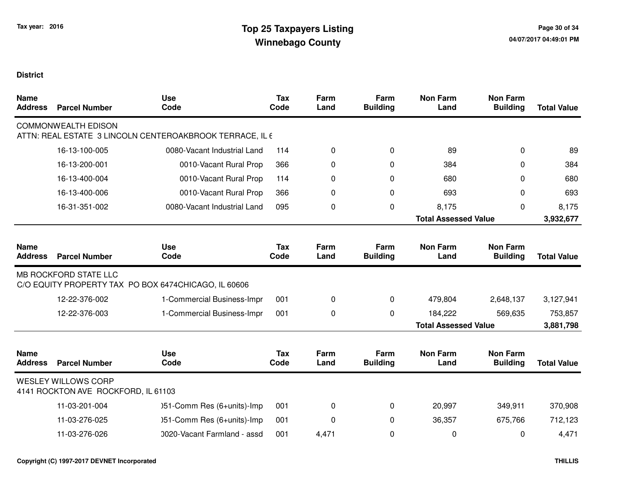| <b>Name</b><br><b>Address</b> | <b>Parcel Number</b>                                              | <b>Use</b><br>Code                                       | <b>Tax</b><br>Code | Farm<br>Land | Farm<br><b>Building</b> | <b>Non Farm</b><br>Land     | <b>Non Farm</b><br><b>Building</b> | <b>Total Value</b> |
|-------------------------------|-------------------------------------------------------------------|----------------------------------------------------------|--------------------|--------------|-------------------------|-----------------------------|------------------------------------|--------------------|
|                               | <b>COMMONWEALTH EDISON</b>                                        | ATTN: REAL ESTATE 3 LINCOLN CENTEROAKBROOK TERRACE, IL 6 |                    |              |                         |                             |                                    |                    |
|                               | 16-13-100-005                                                     | 0080-Vacant Industrial Land                              | 114                | $\pmb{0}$    | 0                       | 89                          | 0                                  | 89                 |
|                               | 16-13-200-001                                                     | 0010-Vacant Rural Prop                                   | 366                | 0            | 0                       | 384                         | 0                                  | 384                |
|                               | 16-13-400-004                                                     | 0010-Vacant Rural Prop                                   | 114                | 0            | 0                       | 680                         | 0                                  | 680                |
|                               | 16-13-400-006                                                     | 0010-Vacant Rural Prop                                   | 366                | 0            | 0                       | 693                         | 0                                  | 693                |
|                               | 16-31-351-002                                                     | 0080-Vacant Industrial Land                              | 095                | 0            | 0                       | 8,175                       | 0                                  | 8,175              |
|                               |                                                                   |                                                          |                    |              |                         | <b>Total Assessed Value</b> |                                    | 3,932,677          |
| <b>Name</b><br><b>Address</b> | <b>Parcel Number</b>                                              | <b>Use</b><br>Code                                       | Tax<br>Code        | Farm<br>Land | Farm<br><b>Building</b> | <b>Non Farm</b><br>Land     | <b>Non Farm</b><br><b>Building</b> | <b>Total Value</b> |
|                               | <b>MB ROCKFORD STATE LLC</b>                                      | C/O EQUITY PROPERTY TAX PO BOX 6474CHICAGO, IL 60606     |                    |              |                         |                             |                                    |                    |
|                               | 12-22-376-002                                                     | 1-Commercial Business-Impr                               | 001                | $\pmb{0}$    | $\pmb{0}$               | 479,804                     | 2,648,137                          | 3,127,941          |
|                               | 12-22-376-003                                                     | 1-Commercial Business-Impr                               | 001                | 0            | 0                       | 184,222                     | 569,635                            | 753,857            |
|                               |                                                                   |                                                          |                    |              |                         | <b>Total Assessed Value</b> |                                    | 3,881,798          |
| <b>Name</b><br><b>Address</b> | <b>Parcel Number</b>                                              | <b>Use</b><br>Code                                       | <b>Tax</b><br>Code | Farm<br>Land | Farm<br><b>Building</b> | <b>Non Farm</b><br>Land     | <b>Non Farm</b><br><b>Building</b> | <b>Total Value</b> |
|                               | <b>WESLEY WILLOWS CORP</b><br>4141 ROCKTON AVE ROCKFORD, IL 61103 |                                                          |                    |              |                         |                             |                                    |                    |
|                               | 11-03-201-004                                                     | )51-Comm Res (6+units)-Imp                               | 001                | $\Omega$     | 0                       | 20,997                      | 349,911                            | 370,908            |
|                               | 11-03-276-025                                                     | )51-Comm Res (6+units)-Imp                               | 001                | 0            | 0                       | 36,357                      | 675,766                            | 712,123            |
|                               | 11-03-276-026                                                     | 0020-Vacant Farmland - assd                              | 001                | 4,471        | 0                       | $\mathbf 0$                 | 0                                  | 4,471              |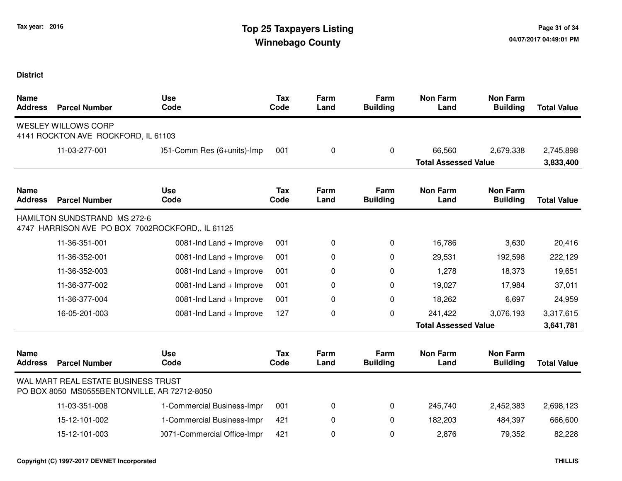| <b>Name</b><br><b>Address</b> | <b>Parcel Number</b>                                                                | <b>Use</b><br>Code                               | <b>Tax</b><br>Code | Farm<br>Land | Farm<br><b>Building</b> | <b>Non Farm</b><br>Land     | <b>Non Farm</b><br><b>Building</b> | <b>Total Value</b> |
|-------------------------------|-------------------------------------------------------------------------------------|--------------------------------------------------|--------------------|--------------|-------------------------|-----------------------------|------------------------------------|--------------------|
|                               | <b>WESLEY WILLOWS CORP</b><br>4141 ROCKTON AVE ROCKFORD, IL 61103                   |                                                  |                    |              |                         |                             |                                    |                    |
|                               | 11-03-277-001                                                                       | )51-Comm Res (6+units)-Imp                       | 001                | 0            | $\mathbf{0}$            | 66,560                      | 2,679,338                          | 2,745,898          |
|                               |                                                                                     |                                                  |                    |              |                         | <b>Total Assessed Value</b> |                                    | 3,833,400          |
| <b>Name</b><br><b>Address</b> | <b>Parcel Number</b>                                                                | <b>Use</b><br>Code                               | <b>Tax</b><br>Code | Farm<br>Land | Farm<br><b>Building</b> | <b>Non Farm</b><br>Land     | <b>Non Farm</b><br><b>Building</b> | <b>Total Value</b> |
|                               | <b>HAMILTON SUNDSTRAND MS 272-6</b>                                                 | 4747 HARRISON AVE PO BOX 7002ROCKFORD,, IL 61125 |                    |              |                         |                             |                                    |                    |
|                               | 11-36-351-001                                                                       | 0081-Ind Land + Improve                          | 001                | 0            | $\Omega$                | 16,786                      | 3,630                              | 20,416             |
|                               | 11-36-352-001                                                                       | 0081-Ind Land + Improve                          | 001                | 0            | 0                       | 29,531                      | 192,598                            | 222,129            |
|                               | 11-36-352-003                                                                       | 0081-Ind Land + Improve                          | 001                | 0            | 0                       | 1,278                       | 18,373                             | 19,651             |
|                               | 11-36-377-002                                                                       | 0081-Ind Land + Improve                          | 001                | 0            | 0                       | 19,027                      | 17,984                             | 37,011             |
|                               | 11-36-377-004                                                                       | 0081-Ind Land + Improve                          | 001                | 0            | 0                       | 18,262                      | 6,697                              | 24,959             |
|                               | 16-05-201-003                                                                       | 0081-Ind Land + Improve                          | 127                | 0            | 0                       | 241,422                     | 3,076,193                          | 3,317,615          |
|                               |                                                                                     |                                                  |                    |              |                         | <b>Total Assessed Value</b> |                                    | 3,641,781          |
| <b>Name</b><br><b>Address</b> | <b>Parcel Number</b>                                                                | <b>Use</b><br>Code                               | <b>Tax</b><br>Code | Farm<br>Land | Farm<br><b>Building</b> | <b>Non Farm</b><br>Land     | <b>Non Farm</b><br><b>Building</b> | <b>Total Value</b> |
|                               | WAL MART REAL ESTATE BUSINESS TRUST<br>PO BOX 8050 MS0555BENTONVILLE, AR 72712-8050 |                                                  |                    |              |                         |                             |                                    |                    |
|                               | 11-03-351-008                                                                       | 1-Commercial Business-Impr                       | 001                | 0            | 0                       | 245,740                     | 2,452,383                          | 2,698,123          |
|                               | 15-12-101-002                                                                       | 1-Commercial Business-Impr                       | 421                | 0            | $\mathbf{0}$            | 182,203                     | 484,397                            | 666,600            |
|                               | 15-12-101-003                                                                       | 0071-Commercial Office-Impr                      | 421                | 0            | 0                       | 2,876                       | 79,352                             | 82,228             |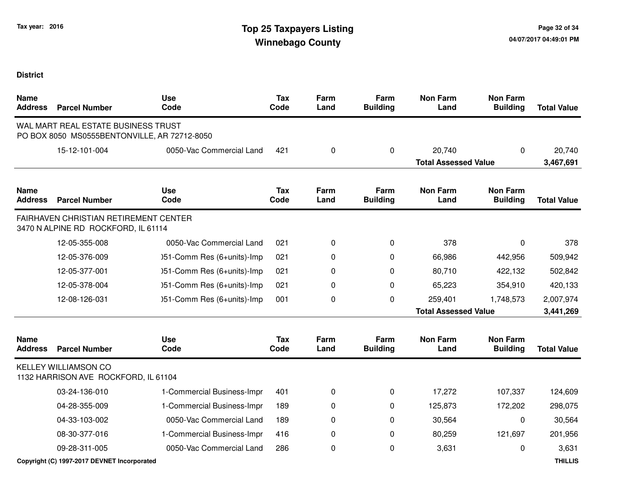| <b>Name</b><br><b>Address</b> | <b>Parcel Number</b>                                                                | <b>Use</b><br>Code         | <b>Tax</b><br>Code | Farm<br>Land | Farm<br><b>Building</b> | <b>Non Farm</b><br>Land     | <b>Non Farm</b><br><b>Building</b> | <b>Total Value</b> |
|-------------------------------|-------------------------------------------------------------------------------------|----------------------------|--------------------|--------------|-------------------------|-----------------------------|------------------------------------|--------------------|
|                               | WAL MART REAL ESTATE BUSINESS TRUST<br>PO BOX 8050 MS0555BENTONVILLE, AR 72712-8050 |                            |                    |              |                         |                             |                                    |                    |
|                               | 15-12-101-004                                                                       | 0050-Vac Commercial Land   | 421                | $\mathbf 0$  | 0                       | 20,740                      | $\Omega$                           | 20,740             |
|                               |                                                                                     |                            |                    |              |                         | <b>Total Assessed Value</b> |                                    | 3,467,691          |
| <b>Name</b><br><b>Address</b> | <b>Parcel Number</b>                                                                | <b>Use</b><br>Code         | <b>Tax</b><br>Code | Farm<br>Land | Farm<br><b>Building</b> | <b>Non Farm</b><br>Land     | <b>Non Farm</b><br><b>Building</b> | <b>Total Value</b> |
|                               | <b>FAIRHAVEN CHRISTIAN RETIREMENT CENTER</b><br>3470 N ALPINE RD ROCKFORD, IL 61114 |                            |                    |              |                         |                             |                                    |                    |
|                               | 12-05-355-008                                                                       | 0050-Vac Commercial Land   | 021                | 0            | 0                       | 378                         | 0                                  | 378                |
|                               | 12-05-376-009                                                                       | )51-Comm Res (6+units)-Imp | 021                | 0            | $\Omega$                | 66,986                      | 442,956                            | 509,942            |
|                               | 12-05-377-001                                                                       | )51-Comm Res (6+units)-Imp | 021                | 0            | 0                       | 80,710                      | 422,132                            | 502,842            |
|                               | 12-05-378-004                                                                       | )51-Comm Res (6+units)-Imp | 021                | 0            | 0                       | 65,223                      | 354,910                            | 420,133            |
|                               | 12-08-126-031                                                                       | )51-Comm Res (6+units)-Imp | 001                | 0            | 0                       | 259,401                     | 1,748,573                          | 2,007,974          |
|                               |                                                                                     |                            |                    |              |                         | <b>Total Assessed Value</b> |                                    | 3,441,269          |
| <b>Name</b><br><b>Address</b> | <b>Parcel Number</b>                                                                | <b>Use</b><br>Code         | <b>Tax</b><br>Code | Farm<br>Land | Farm<br><b>Building</b> | <b>Non Farm</b><br>Land     | <b>Non Farm</b><br><b>Building</b> | <b>Total Value</b> |
|                               | <b>KELLEY WILLIAMSON CO</b><br>1132 HARRISON AVE ROCKFORD, IL 61104                 |                            |                    |              |                         |                             |                                    |                    |
|                               | 03-24-136-010                                                                       | 1-Commercial Business-Impr | 401                | 0            | $\pmb{0}$               | 17,272                      | 107,337                            | 124,609            |
|                               | 04-28-355-009                                                                       | 1-Commercial Business-Impr | 189                | 0            | $\Omega$                | 125,873                     | 172,202                            | 298,075            |
|                               | 04-33-103-002                                                                       | 0050-Vac Commercial Land   | 189                | 0            | 0                       | 30,564                      | $\Omega$                           | 30,564             |
|                               | 08-30-377-016                                                                       | 1-Commercial Business-Impr | 416                | 0            | 0                       | 80,259                      | 121,697                            | 201,956            |
|                               | 09-28-311-005                                                                       | 0050-Vac Commercial Land   | 286                | 0            | 0                       | 3,631                       | 0                                  | 3,631              |
|                               | Copyright (C) 1997-2017 DEVNET Incorporated                                         |                            |                    |              |                         |                             |                                    | <b>THILLIS</b>     |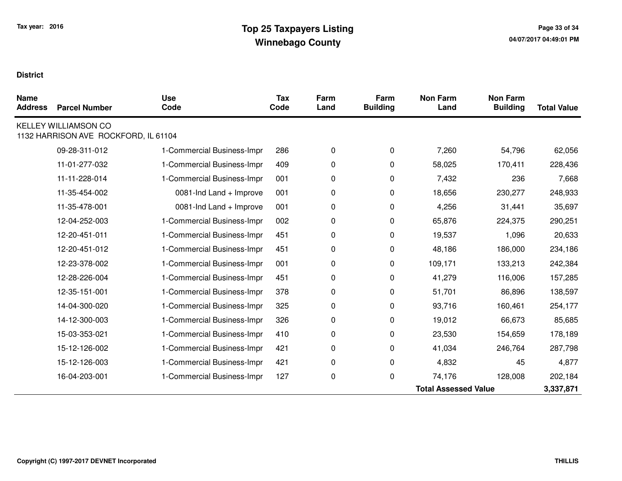| <b>Name</b><br><b>Address</b> | <b>Parcel Number</b>                                                | <b>Use</b><br>Code         | <b>Tax</b><br>Code | Farm<br>Land | Farm<br><b>Building</b> | <b>Non Farm</b><br>Land     | <b>Non Farm</b><br><b>Building</b> | <b>Total Value</b> |
|-------------------------------|---------------------------------------------------------------------|----------------------------|--------------------|--------------|-------------------------|-----------------------------|------------------------------------|--------------------|
|                               | <b>KELLEY WILLIAMSON CO</b><br>1132 HARRISON AVE ROCKFORD, IL 61104 |                            |                    |              |                         |                             |                                    |                    |
|                               | 09-28-311-012                                                       | 1-Commercial Business-Impr | 286                | 0            | 0                       | 7,260                       | 54,796                             | 62,056             |
|                               | 11-01-277-032                                                       | 1-Commercial Business-Impr | 409                | 0            | 0                       | 58,025                      | 170,411                            | 228,436            |
|                               | 11-11-228-014                                                       | 1-Commercial Business-Impr | 001                | 0            | 0                       | 7,432                       | 236                                | 7,668              |
|                               | 11-35-454-002                                                       | 0081-Ind Land + Improve    | 001                | 0            | 0                       | 18,656                      | 230,277                            | 248,933            |
|                               | 11-35-478-001                                                       | 0081-Ind Land + Improve    | 001                | 0            | 0                       | 4,256                       | 31,441                             | 35,697             |
|                               | 12-04-252-003                                                       | 1-Commercial Business-Impr | 002                | 0            | 0                       | 65,876                      | 224,375                            | 290,251            |
|                               | 12-20-451-011                                                       | 1-Commercial Business-Impr | 451                | 0            | 0                       | 19,537                      | 1,096                              | 20,633             |
|                               | 12-20-451-012                                                       | 1-Commercial Business-Impr | 451                | 0            | 0                       | 48,186                      | 186,000                            | 234,186            |
|                               | 12-23-378-002                                                       | 1-Commercial Business-Impr | 001                | 0            | 0                       | 109,171                     | 133,213                            | 242,384            |
|                               | 12-28-226-004                                                       | 1-Commercial Business-Impr | 451                | 0            | 0                       | 41,279                      | 116,006                            | 157,285            |
|                               | 12-35-151-001                                                       | 1-Commercial Business-Impr | 378                | 0            | 0                       | 51,701                      | 86,896                             | 138,597            |
|                               | 14-04-300-020                                                       | 1-Commercial Business-Impr | 325                | 0            | 0                       | 93,716                      | 160,461                            | 254,177            |
|                               | 14-12-300-003                                                       | 1-Commercial Business-Impr | 326                | 0            | 0                       | 19,012                      | 66,673                             | 85,685             |
|                               | 15-03-353-021                                                       | 1-Commercial Business-Impr | 410                | 0            | 0                       | 23,530                      | 154,659                            | 178,189            |
|                               | 15-12-126-002                                                       | 1-Commercial Business-Impr | 421                | 0            | $\Omega$                | 41,034                      | 246,764                            | 287,798            |
|                               | 15-12-126-003                                                       | 1-Commercial Business-Impr | 421                | 0            | 0                       | 4,832                       | 45                                 | 4,877              |
|                               | 16-04-203-001                                                       | 1-Commercial Business-Impr | 127                | 0            | 0                       | 74,176                      | 128,008                            | 202,184            |
|                               |                                                                     |                            |                    |              |                         | <b>Total Assessed Value</b> |                                    | 3,337,871          |